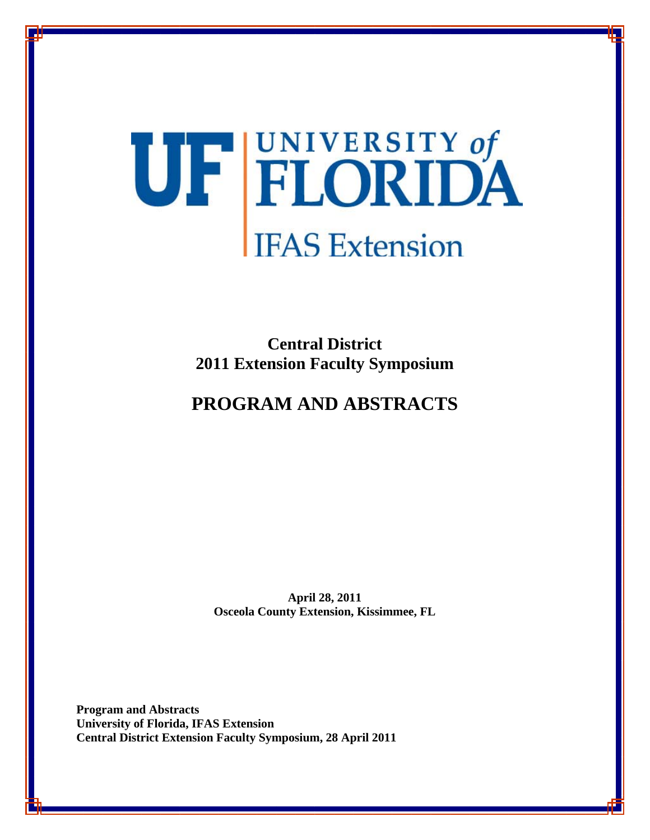

**Central District 2011 Extension Faculty Symposium** 

# **PROGRAM AND ABSTRACTS**

**April 28, 2011 Osceola County Extension, Kissimmee, FL**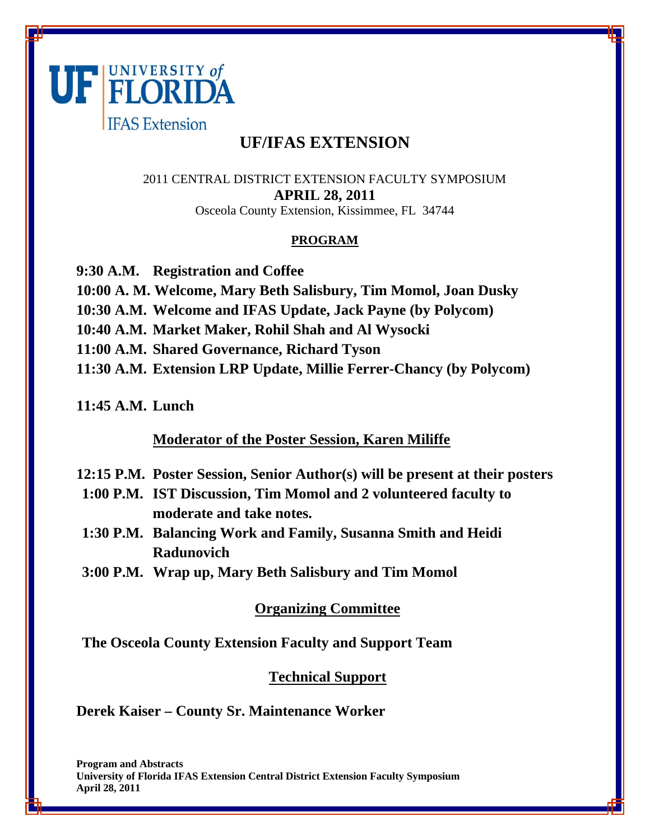

# **UF/IFAS EXTENSION**

2011 CENTRAL DISTRICT EXTENSION FACULTY SYMPOSIUM **APRIL 28, 2011** 

Osceola County Extension, Kissimmee, FL 34744

## **PROGRAM**

- **9:30 A.M. Registration and Coffee**
- **10:00 A. M. Welcome, Mary Beth Salisbury, Tim Momol, Joan Dusky**
- **10:30 A.M. Welcome and IFAS Update, Jack Payne (by Polycom)**
- **10:40 A.M. Market Maker, Rohil Shah and Al Wysocki**
- **11:00 A.M. Shared Governance, Richard Tyson**
- **11:30 A.M. Extension LRP Update, Millie Ferrer-Chancy (by Polycom)**
- **11:45 A.M. Lunch**

# **Moderator of the Poster Session, Karen Miliffe**

- **12:15 P.M. Poster Session, Senior Author(s) will be present at their posters**
- **1:00 P.M. IST Discussion, Tim Momol and 2 volunteered faculty to moderate and take notes.**
- **1:30 P.M. Balancing Work and Family, Susanna Smith and Heidi Radunovich**
- **3:00 P.M. Wrap up, Mary Beth Salisbury and Tim Momol**

# **Organizing Committee**

**The Osceola County Extension Faculty and Support Team** 

# **Technical Support**

# **Derek Kaiser – County Sr. Maintenance Worker**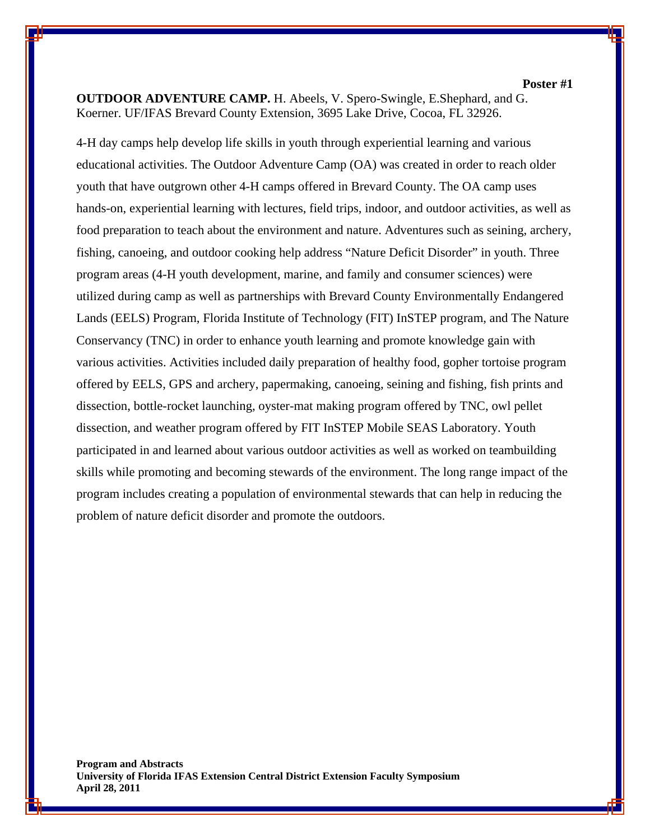**Poster #1 OUTDOOR ADVENTURE CAMP.** H. Abeels, V. Spero-Swingle, E.Shephard, and G. Koerner. UF/IFAS Brevard County Extension, 3695 Lake Drive, Cocoa, FL 32926.

4-H day camps help develop life skills in youth through experiential learning and various educational activities. The Outdoor Adventure Camp (OA) was created in order to reach older youth that have outgrown other 4-H camps offered in Brevard County. The OA camp uses hands-on, experiential learning with lectures, field trips, indoor, and outdoor activities, as well as food preparation to teach about the environment and nature. Adventures such as seining, archery, fishing, canoeing, and outdoor cooking help address "Nature Deficit Disorder" in youth. Three program areas (4-H youth development, marine, and family and consumer sciences) were utilized during camp as well as partnerships with Brevard County Environmentally Endangered Lands (EELS) Program, Florida Institute of Technology (FIT) InSTEP program, and The Nature Conservancy (TNC) in order to enhance youth learning and promote knowledge gain with various activities. Activities included daily preparation of healthy food, gopher tortoise program offered by EELS, GPS and archery, papermaking, canoeing, seining and fishing, fish prints and dissection, bottle-rocket launching, oyster-mat making program offered by TNC, owl pellet dissection, and weather program offered by FIT InSTEP Mobile SEAS Laboratory. Youth participated in and learned about various outdoor activities as well as worked on teambuilding skills while promoting and becoming stewards of the environment. The long range impact of the program includes creating a population of environmental stewards that can help in reducing the problem of nature deficit disorder and promote the outdoors.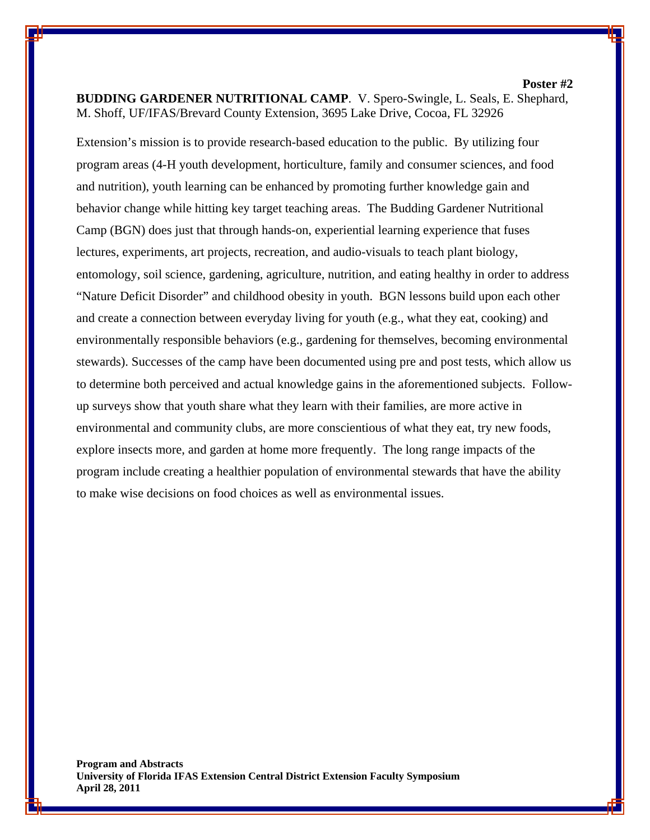**BUDDING GARDENER NUTRITIONAL CAMP**. V. Spero-Swingle, L. Seals, E. Shephard, M. Shoff, UF/IFAS/Brevard County Extension, 3695 Lake Drive, Cocoa, FL 32926

**Poster #2** 

Extension's mission is to provide research-based education to the public. By utilizing four program areas (4-H youth development, horticulture, family and consumer sciences, and food and nutrition), youth learning can be enhanced by promoting further knowledge gain and behavior change while hitting key target teaching areas. The Budding Gardener Nutritional Camp (BGN) does just that through hands-on, experiential learning experience that fuses lectures, experiments, art projects, recreation, and audio-visuals to teach plant biology, entomology, soil science, gardening, agriculture, nutrition, and eating healthy in order to address "Nature Deficit Disorder" and childhood obesity in youth. BGN lessons build upon each other and create a connection between everyday living for youth (e.g., what they eat, cooking) and environmentally responsible behaviors (e.g., gardening for themselves, becoming environmental stewards). Successes of the camp have been documented using pre and post tests, which allow us to determine both perceived and actual knowledge gains in the aforementioned subjects. Followup surveys show that youth share what they learn with their families, are more active in environmental and community clubs, are more conscientious of what they eat, try new foods, explore insects more, and garden at home more frequently. The long range impacts of the program include creating a healthier population of environmental stewards that have the ability to make wise decisions on food choices as well as environmental issues.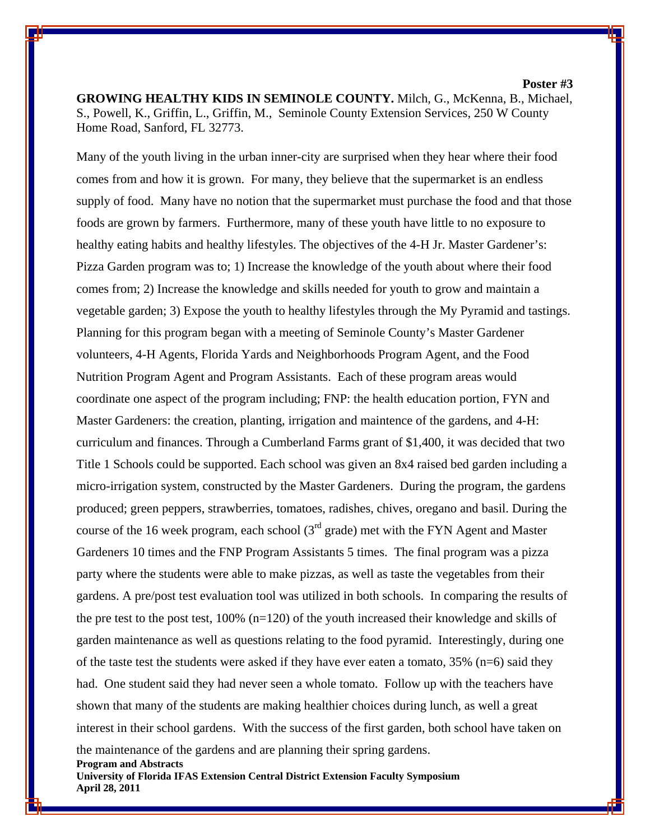**Poster #3** 

**GROWING HEALTHY KIDS IN SEMINOLE COUNTY.** Milch, G., McKenna, B., Michael, S., Powell, K., Griffin, L., Griffin, M., Seminole County Extension Services, 250 W County Home Road, Sanford, FL 32773.

Many of the youth living in the urban inner-city are surprised when they hear where their food comes from and how it is grown. For many, they believe that the supermarket is an endless supply of food. Many have no notion that the supermarket must purchase the food and that those foods are grown by farmers. Furthermore, many of these youth have little to no exposure to healthy eating habits and healthy lifestyles. The objectives of the 4-H Jr. Master Gardener's: Pizza Garden program was to; 1) Increase the knowledge of the youth about where their food comes from; 2) Increase the knowledge and skills needed for youth to grow and maintain a vegetable garden; 3) Expose the youth to healthy lifestyles through the My Pyramid and tastings. Planning for this program began with a meeting of Seminole County's Master Gardener volunteers, 4-H Agents, Florida Yards and Neighborhoods Program Agent, and the Food Nutrition Program Agent and Program Assistants. Each of these program areas would coordinate one aspect of the program including; FNP: the health education portion, FYN and Master Gardeners: the creation, planting, irrigation and maintence of the gardens, and 4-H: curriculum and finances. Through a Cumberland Farms grant of \$1,400, it was decided that two Title 1 Schools could be supported. Each school was given an 8x4 raised bed garden including a micro-irrigation system, constructed by the Master Gardeners. During the program, the gardens produced; green peppers, strawberries, tomatoes, radishes, chives, oregano and basil. During the course of the 16 week program, each school  $(3<sup>rd</sup>$  grade) met with the FYN Agent and Master Gardeners 10 times and the FNP Program Assistants 5 times. The final program was a pizza party where the students were able to make pizzas, as well as taste the vegetables from their gardens. A pre/post test evaluation tool was utilized in both schools. In comparing the results of the pre test to the post test, 100% (n=120) of the youth increased their knowledge and skills of garden maintenance as well as questions relating to the food pyramid. Interestingly, during one of the taste test the students were asked if they have ever eaten a tomato,  $35\%$  (n=6) said they had. One student said they had never seen a whole tomato. Follow up with the teachers have shown that many of the students are making healthier choices during lunch, as well a great interest in their school gardens. With the success of the first garden, both school have taken on

**Program and Abstracts University of Florida IFAS Extension Central District Extension Faculty Symposium April 28, 2011**  the maintenance of the gardens and are planning their spring gardens.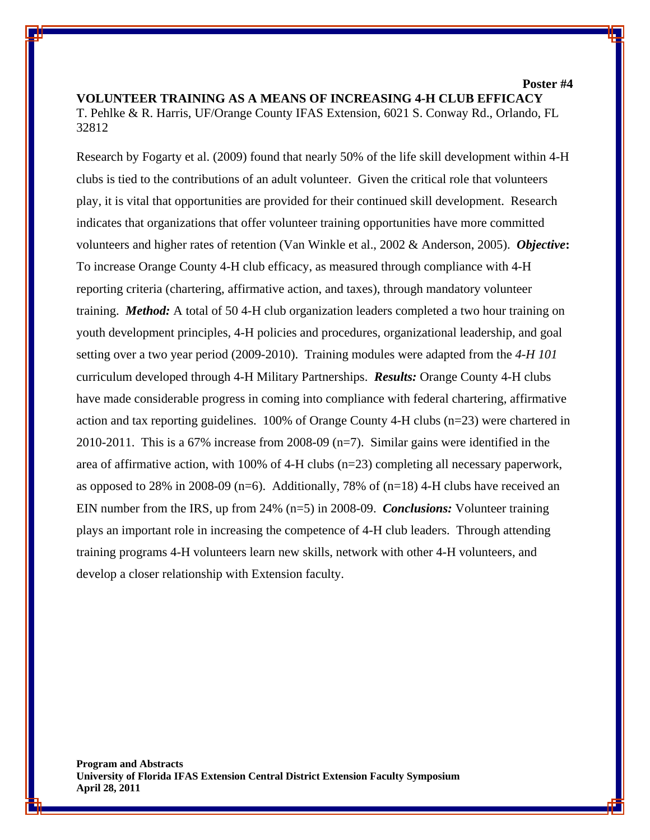**VOLUNTEER TRAINING AS A MEANS OF INCREASING 4-H CLUB EFFICACY**  T. Pehlke & R. Harris, UF/Orange County IFAS Extension, 6021 S. Conway Rd., Orlando, FL 32812

**Poster #4** 

Research by Fogarty et al. (2009) found that nearly 50% of the life skill development within 4-H clubs is tied to the contributions of an adult volunteer. Given the critical role that volunteers play, it is vital that opportunities are provided for their continued skill development. Research indicates that organizations that offer volunteer training opportunities have more committed volunteers and higher rates of retention (Van Winkle et al., 2002 & Anderson, 2005). *Objective***:**  To increase Orange County 4-H club efficacy, as measured through compliance with 4-H reporting criteria (chartering, affirmative action, and taxes), through mandatory volunteer training. *Method:* A total of 50 4-H club organization leaders completed a two hour training on youth development principles, 4-H policies and procedures, organizational leadership, and goal setting over a two year period (2009-2010). Training modules were adapted from the *4-H 101* curriculum developed through 4-H Military Partnerships. *Results:* Orange County 4-H clubs have made considerable progress in coming into compliance with federal chartering, affirmative action and tax reporting guidelines. 100% of Orange County 4-H clubs (n=23) were chartered in 2010-2011. This is a 67% increase from 2008-09  $(n=7)$ . Similar gains were identified in the area of affirmative action, with 100% of 4-H clubs (n=23) completing all necessary paperwork, as opposed to 28% in 2008-09 (n=6). Additionally, 78% of (n=18) 4-H clubs have received an EIN number from the IRS, up from 24% (n=5) in 2008-09. *Conclusions:* Volunteer training plays an important role in increasing the competence of 4-H club leaders. Through attending training programs 4-H volunteers learn new skills, network with other 4-H volunteers, and develop a closer relationship with Extension faculty.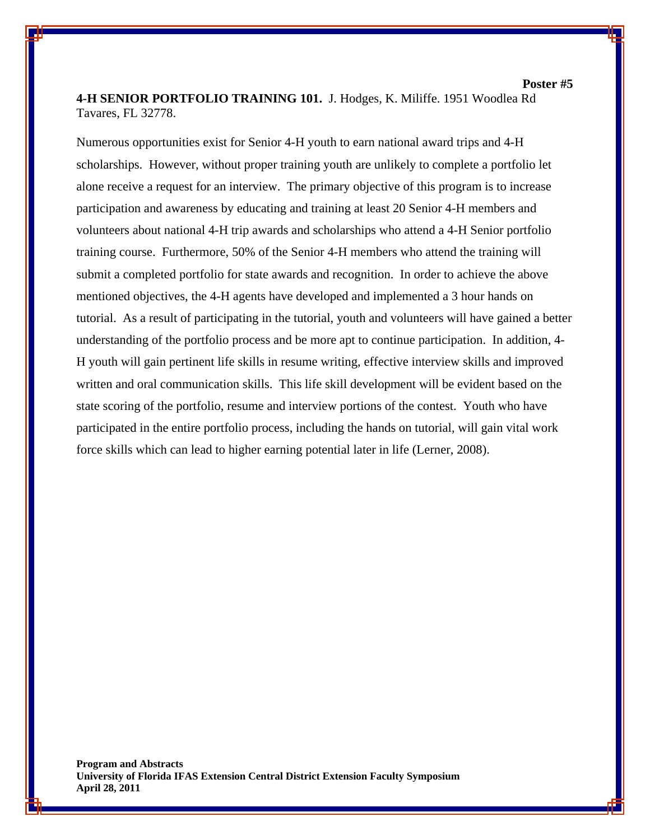## **4-H SENIOR PORTFOLIO TRAINING 101.** J. Hodges, K. Miliffe. 1951 Woodlea Rd Tavares, FL 32778.

**Poster #5** 

Numerous opportunities exist for Senior 4-H youth to earn national award trips and 4-H scholarships. However, without proper training youth are unlikely to complete a portfolio let alone receive a request for an interview. The primary objective of this program is to increase participation and awareness by educating and training at least 20 Senior 4-H members and volunteers about national 4-H trip awards and scholarships who attend a 4-H Senior portfolio training course. Furthermore, 50% of the Senior 4-H members who attend the training will submit a completed portfolio for state awards and recognition. In order to achieve the above mentioned objectives, the 4-H agents have developed and implemented a 3 hour hands on tutorial. As a result of participating in the tutorial, youth and volunteers will have gained a better understanding of the portfolio process and be more apt to continue participation. In addition, 4- H youth will gain pertinent life skills in resume writing, effective interview skills and improved written and oral communication skills. This life skill development will be evident based on the state scoring of the portfolio, resume and interview portions of the contest. Youth who have participated in the entire portfolio process, including the hands on tutorial, will gain vital work force skills which can lead to higher earning potential later in life (Lerner, 2008).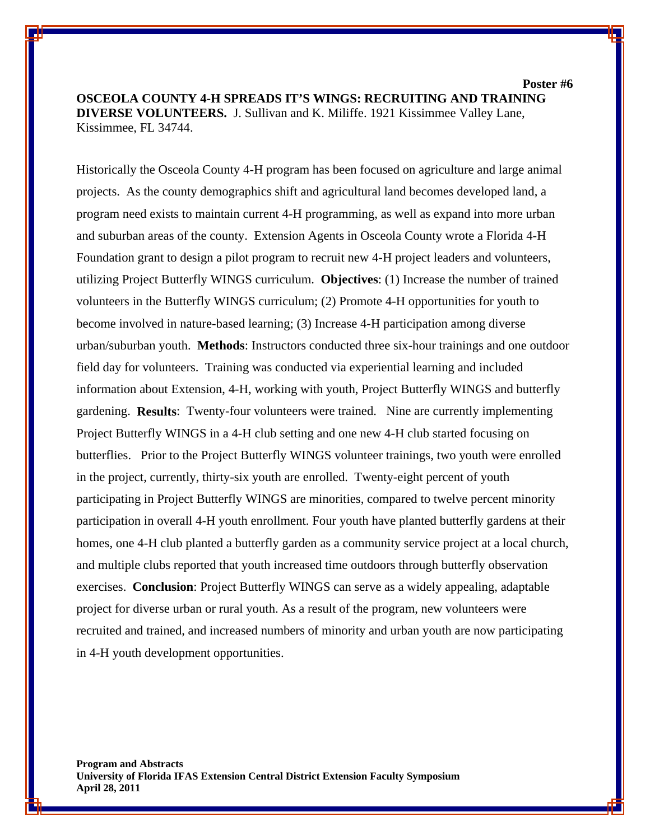**OSCEOLA COUNTY 4-H SPREADS IT'S WINGS: RECRUITING AND TRAINING DIVERSE VOLUNTEERS.** J. Sullivan and K. Miliffe. 1921 Kissimmee Valley Lane, Kissimmee, FL 34744.

**Poster #6** 

Historically the Osceola County 4-H program has been focused on agriculture and large animal projects. As the county demographics shift and agricultural land becomes developed land, a program need exists to maintain current 4-H programming, as well as expand into more urban and suburban areas of the county. Extension Agents in Osceola County wrote a Florida 4-H Foundation grant to design a pilot program to recruit new 4-H project leaders and volunteers, utilizing Project Butterfly WINGS curriculum. **Objectives**: (1) Increase the number of trained volunteers in the Butterfly WINGS curriculum; (2) Promote 4-H opportunities for youth to become involved in nature-based learning; (3) Increase 4-H participation among diverse urban/suburban youth. **Methods**: Instructors conducted three six-hour trainings and one outdoor field day for volunteers. Training was conducted via experiential learning and included information about Extension, 4-H, working with youth, Project Butterfly WINGS and butterfly gardening. **Results**: Twenty-four volunteers were trained. Nine are currently implementing Project Butterfly WINGS in a 4-H club setting and one new 4-H club started focusing on butterflies. Prior to the Project Butterfly WINGS volunteer trainings, two youth were enrolled in the project, currently, thirty-six youth are enrolled. Twenty-eight percent of youth participating in Project Butterfly WINGS are minorities, compared to twelve percent minority participation in overall 4-H youth enrollment. Four youth have planted butterfly gardens at their homes, one 4-H club planted a butterfly garden as a community service project at a local church, and multiple clubs reported that youth increased time outdoors through butterfly observation exercises. **Conclusion**: Project Butterfly WINGS can serve as a widely appealing, adaptable project for diverse urban or rural youth. As a result of the program, new volunteers were recruited and trained, and increased numbers of minority and urban youth are now participating in 4-H youth development opportunities.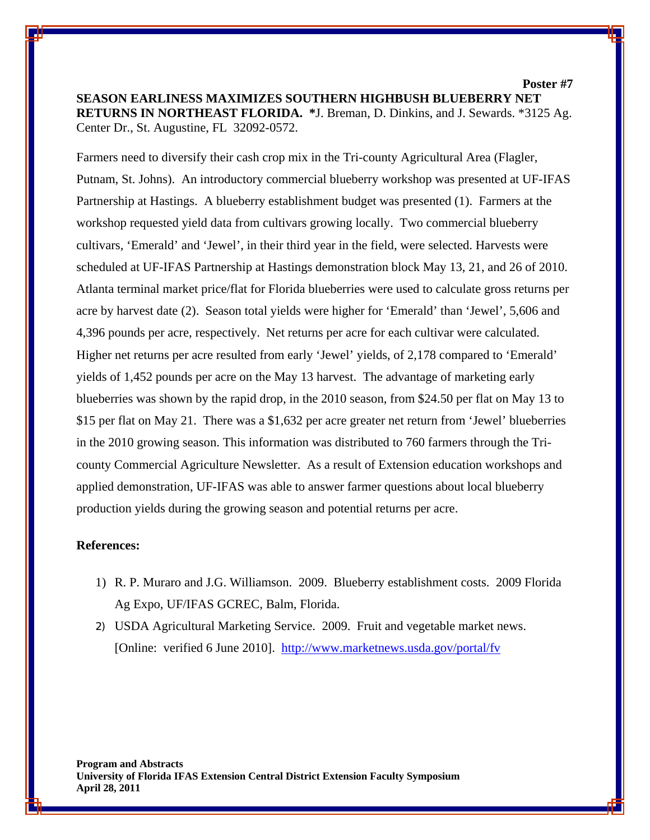**SEASON EARLINESS MAXIMIZES SOUTHERN HIGHBUSH BLUEBERRY NET RETURNS IN NORTHEAST FLORIDA. \***J. Breman, D. Dinkins, and J. Sewards. \*3125 Ag. Center Dr., St. Augustine, FL 32092-0572.

**Poster #7** 

Farmers need to diversify their cash crop mix in the Tri-county Agricultural Area (Flagler, Putnam, St. Johns). An introductory commercial blueberry workshop was presented at UF-IFAS Partnership at Hastings. A blueberry establishment budget was presented (1). Farmers at the workshop requested yield data from cultivars growing locally. Two commercial blueberry cultivars, 'Emerald' and 'Jewel', in their third year in the field, were selected. Harvests were scheduled at UF-IFAS Partnership at Hastings demonstration block May 13, 21, and 26 of 2010. Atlanta terminal market price/flat for Florida blueberries were used to calculate gross returns per acre by harvest date (2). Season total yields were higher for 'Emerald' than 'Jewel', 5,606 and 4,396 pounds per acre, respectively. Net returns per acre for each cultivar were calculated. Higher net returns per acre resulted from early 'Jewel' yields, of 2,178 compared to 'Emerald' yields of 1,452 pounds per acre on the May 13 harvest. The advantage of marketing early blueberries was shown by the rapid drop, in the 2010 season, from \$24.50 per flat on May 13 to \$15 per flat on May 21. There was a \$1,632 per acre greater net return from 'Jewel' blueberries in the 2010 growing season. This information was distributed to 760 farmers through the Tricounty Commercial Agriculture Newsletter. As a result of Extension education workshops and applied demonstration, UF-IFAS was able to answer farmer questions about local blueberry production yields during the growing season and potential returns per acre.

## **References:**

- 1) R. P. Muraro and J.G. Williamson. 2009. Blueberry establishment costs. 2009 Florida Ag Expo, UF/IFAS GCREC, Balm, Florida.
- 2) USDA Agricultural Marketing Service. 2009. Fruit and vegetable market news. [Online: verified 6 June 2010]. <http://www.marketnews.usda.gov/portal/fv>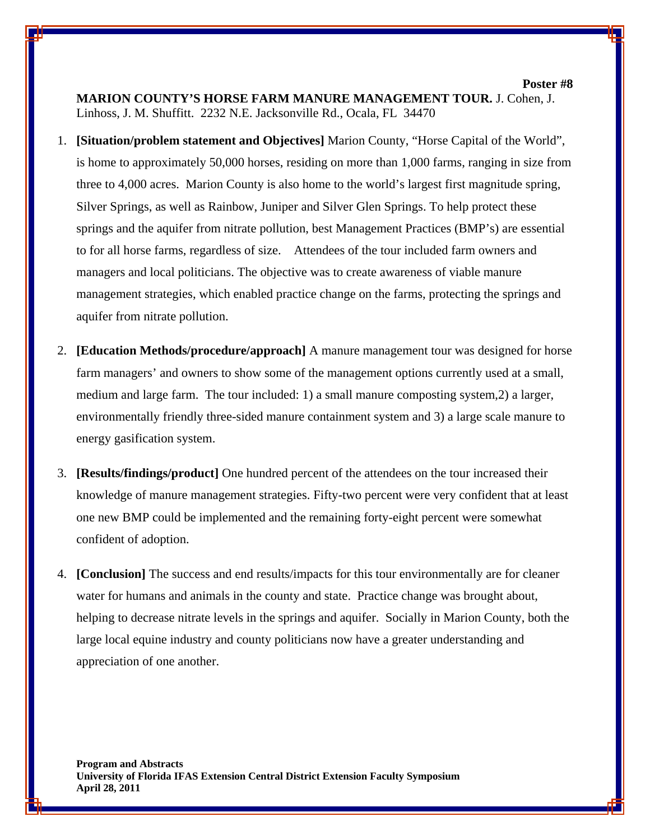**MARION COUNTY'S HORSE FARM MANURE MANAGEMENT TOUR.** J. Cohen, J. Linhoss, J. M. Shuffitt. 2232 N.E. Jacksonville Rd., Ocala, FL 34470

- 1. **[Situation/problem statement and Objectives]** Marion County, "Horse Capital of the World", is home to approximately 50,000 horses, residing on more than 1,000 farms, ranging in size from three to 4,000 acres. Marion County is also home to the world's largest first magnitude spring, Silver Springs, as well as Rainbow, Juniper and Silver Glen Springs. To help protect these springs and the aquifer from nitrate pollution, best Management Practices (BMP's) are essential to for all horse farms, regardless of size. Attendees of the tour included farm owners and managers and local politicians. The objective was to create awareness of viable manure management strategies, which enabled practice change on the farms, protecting the springs and aquifer from nitrate pollution.
- 2. **[Education Methods/procedure/approach]** A manure management tour was designed for horse farm managers' and owners to show some of the management options currently used at a small, medium and large farm. The tour included: 1) a small manure composting system,2) a larger, environmentally friendly three-sided manure containment system and 3) a large scale manure to energy gasification system.
- 3. **[Results/findings/product]** One hundred percent of the attendees on the tour increased their knowledge of manure management strategies. Fifty-two percent were very confident that at least one new BMP could be implemented and the remaining forty-eight percent were somewhat confident of adoption.
- 4. **[Conclusion]** The success and end results/impacts for this tour environmentally are for cleaner water for humans and animals in the county and state. Practice change was brought about, helping to decrease nitrate levels in the springs and aquifer. Socially in Marion County, both the large local equine industry and county politicians now have a greater understanding and appreciation of one another.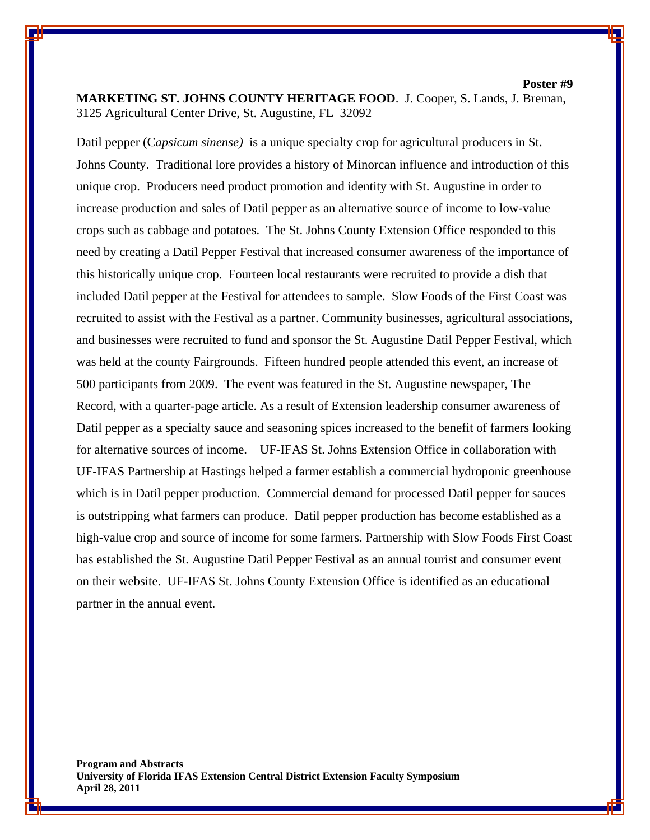**MARKETING ST. JOHNS COUNTY HERITAGE FOOD**. J. Cooper, S. Lands, J. Breman, 3125 Agricultural Center Drive, St. Augustine, FL 32092

**Poster #9** 

Datil pepper (C*apsicum sinense)* is a unique specialty crop for agricultural producers in St. Johns County. Traditional lore provides a history of Minorcan influence and introduction of this unique crop. Producers need product promotion and identity with St. Augustine in order to increase production and sales of Datil pepper as an alternative source of income to low-value crops such as cabbage and potatoes. The St. Johns County Extension Office responded to this need by creating a Datil Pepper Festival that increased consumer awareness of the importance of this historically unique crop. Fourteen local restaurants were recruited to provide a dish that included Datil pepper at the Festival for attendees to sample. Slow Foods of the First Coast was recruited to assist with the Festival as a partner. Community businesses, agricultural associations, and businesses were recruited to fund and sponsor the St. Augustine Datil Pepper Festival, which was held at the county Fairgrounds. Fifteen hundred people attended this event, an increase of 500 participants from 2009. The event was featured in the St. Augustine newspaper, The Record, with a quarter-page article. As a result of Extension leadership consumer awareness of Datil pepper as a specialty sauce and seasoning spices increased to the benefit of farmers looking for alternative sources of income. UF-IFAS St. Johns Extension Office in collaboration with UF-IFAS Partnership at Hastings helped a farmer establish a commercial hydroponic greenhouse which is in Datil pepper production. Commercial demand for processed Datil pepper for sauces is outstripping what farmers can produce. Datil pepper production has become established as a high-value crop and source of income for some farmers. Partnership with Slow Foods First Coast has established the St. Augustine Datil Pepper Festival as an annual tourist and consumer event on their website. UF-IFAS St. Johns County Extension Office is identified as an educational partner in the annual event.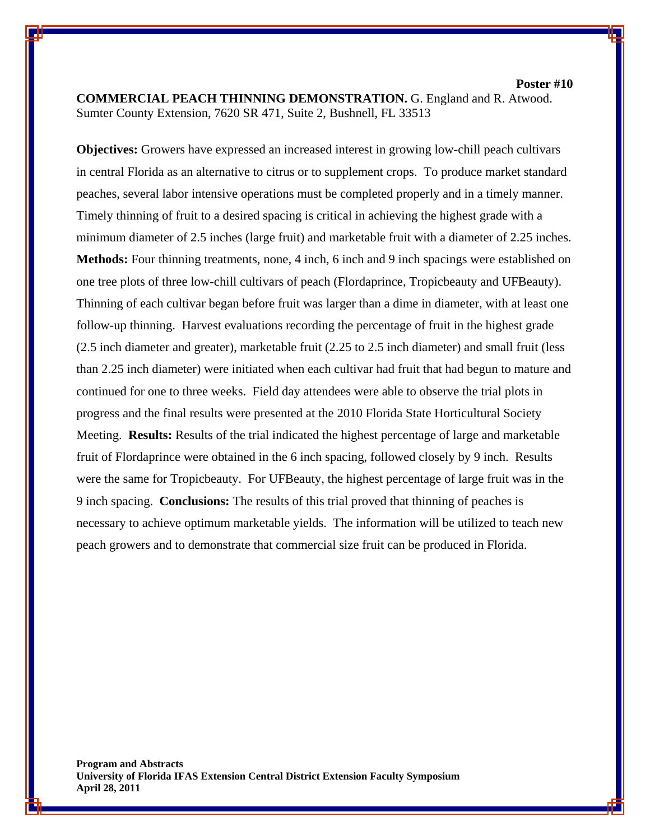**Poster #10 COMMERCIAL PEACH THINNING DEMONSTRATION.** G. England and R. Atwood. Sumter County Extension, 7620 SR 471, Suite 2, Bushnell, FL 33513

**Objectives:** Growers have expressed an increased interest in growing low-chill peach cultivars in central Florida as an alternative to citrus or to supplement crops. To produce market standard peaches, several labor intensive operations must be completed properly and in a timely manner. Timely thinning of fruit to a desired spacing is critical in achieving the highest grade with a minimum diameter of 2.5 inches (large fruit) and marketable fruit with a diameter of 2.25 inches. **Methods:** Four thinning treatments, none, 4 inch, 6 inch and 9 inch spacings were established on one tree plots of three low-chill cultivars of peach (Flordaprince, Tropicbeauty and UFBeauty). Thinning of each cultivar began before fruit was larger than a dime in diameter, with at least one follow-up thinning. Harvest evaluations recording the percentage of fruit in the highest grade (2.5 inch diameter and greater), marketable fruit (2.25 to 2.5 inch diameter) and small fruit (less than 2.25 inch diameter) were initiated when each cultivar had fruit that had begun to mature and continued for one to three weeks. Field day attendees were able to observe the trial plots in progress and the final results were presented at the 2010 Florida State Horticultural Society Meeting. **Results:** Results of the trial indicated the highest percentage of large and marketable fruit of Flordaprince were obtained in the 6 inch spacing, followed closely by 9 inch. Results were the same for Tropicbeauty. For UFBeauty, the highest percentage of large fruit was in the 9 inch spacing. **Conclusions:** The results of this trial proved that thinning of peaches is necessary to achieve optimum marketable yields. The information will be utilized to teach new peach growers and to demonstrate that commercial size fruit can be produced in Florida.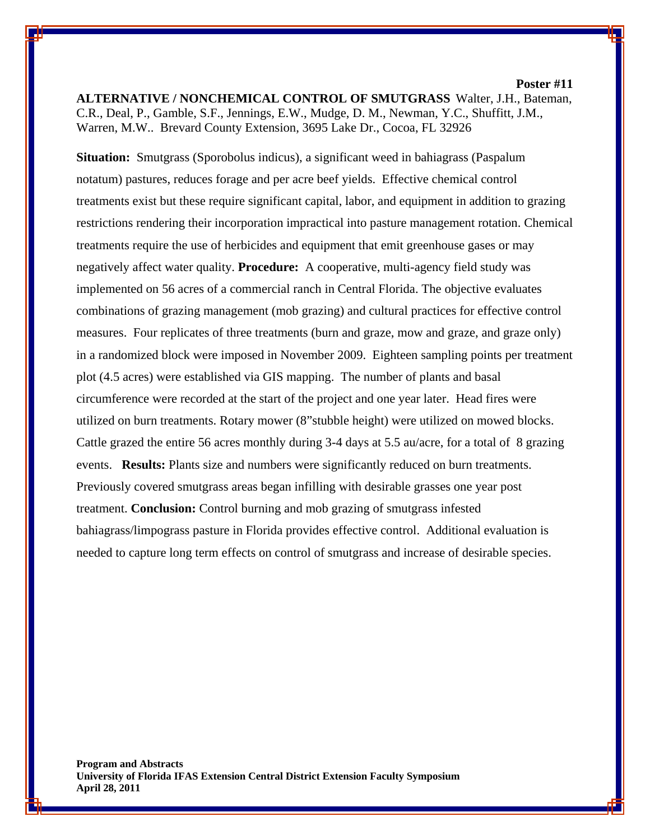**Poster #11** 

**ALTERNATIVE / NONCHEMICAL CONTROL OF SMUTGRASS** Walter, J.H., Bateman, C.R., Deal, P., Gamble, S.F., Jennings, E.W., Mudge, D. M., Newman, Y.C., Shuffitt, J.M., Warren, M.W.. Brevard County Extension, 3695 Lake Dr., Cocoa, FL 32926

**Situation:** Smutgrass (Sporobolus indicus), a significant weed in bahiagrass (Paspalum notatum) pastures, reduces forage and per acre beef yields. Effective chemical control treatments exist but these require significant capital, labor, and equipment in addition to grazing restrictions rendering their incorporation impractical into pasture management rotation. Chemical treatments require the use of herbicides and equipment that emit greenhouse gases or may negatively affect water quality. **Procedure:** A cooperative, multi-agency field study was implemented on 56 acres of a commercial ranch in Central Florida. The objective evaluates combinations of grazing management (mob grazing) and cultural practices for effective control measures. Four replicates of three treatments (burn and graze, mow and graze, and graze only) in a randomized block were imposed in November 2009. Eighteen sampling points per treatment plot (4.5 acres) were established via GIS mapping. The number of plants and basal circumference were recorded at the start of the project and one year later. Head fires were utilized on burn treatments. Rotary mower (8"stubble height) were utilized on mowed blocks. Cattle grazed the entire 56 acres monthly during 3-4 days at 5.5 au/acre, for a total of 8 grazing events. **Results:** Plants size and numbers were significantly reduced on burn treatments. Previously covered smutgrass areas began infilling with desirable grasses one year post treatment. **Conclusion:** Control burning and mob grazing of smutgrass infested bahiagrass/limpograss pasture in Florida provides effective control. Additional evaluation is needed to capture long term effects on control of smutgrass and increase of desirable species.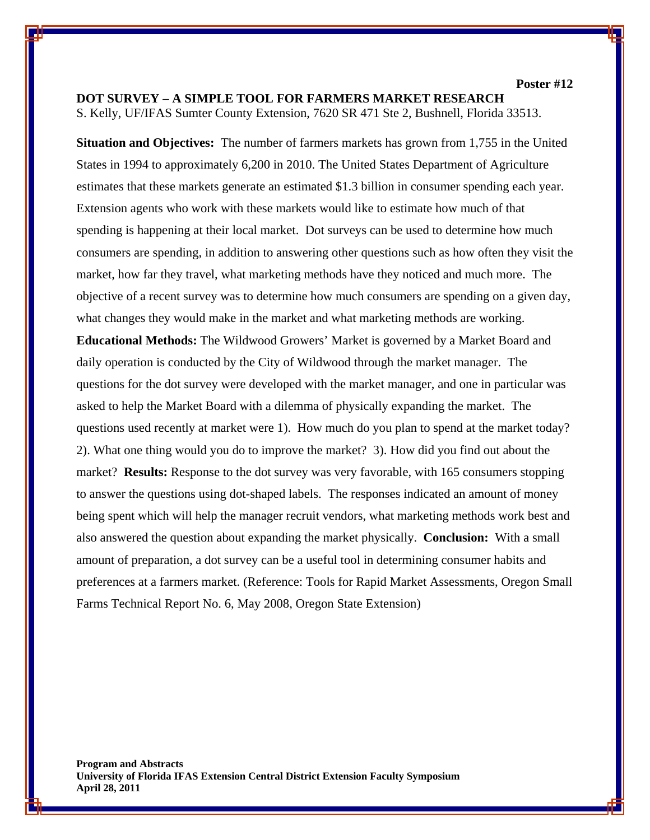**Poster #12 DOT SURVEY – A SIMPLE TOOL FOR FARMERS MARKET RESEARCH**  S. Kelly, UF/IFAS Sumter County Extension, 7620 SR 471 Ste 2, Bushnell, Florida 33513.

**Situation and Objectives:** The number of farmers markets has grown from 1,755 in the United States in 1994 to approximately 6,200 in 2010. The United States Department of Agriculture estimates that these markets generate an estimated \$1.3 billion in consumer spending each year. Extension agents who work with these markets would like to estimate how much of that spending is happening at their local market. Dot surveys can be used to determine how much consumers are spending, in addition to answering other questions such as how often they visit the market, how far they travel, what marketing methods have they noticed and much more. The objective of a recent survey was to determine how much consumers are spending on a given day, what changes they would make in the market and what marketing methods are working. **Educational Methods:** The Wildwood Growers' Market is governed by a Market Board and daily operation is conducted by the City of Wildwood through the market manager. The questions for the dot survey were developed with the market manager, and one in particular was asked to help the Market Board with a dilemma of physically expanding the market. The questions used recently at market were 1). How much do you plan to spend at the market today? 2). What one thing would you do to improve the market? 3). How did you find out about the market? **Results:** Response to the dot survey was very favorable, with 165 consumers stopping to answer the questions using dot-shaped labels. The responses indicated an amount of money being spent which will help the manager recruit vendors, what marketing methods work best and also answered the question about expanding the market physically. **Conclusion:** With a small amount of preparation, a dot survey can be a useful tool in determining consumer habits and preferences at a farmers market. (Reference: Tools for Rapid Market Assessments, Oregon Small Farms Technical Report No. 6, May 2008, Oregon State Extension)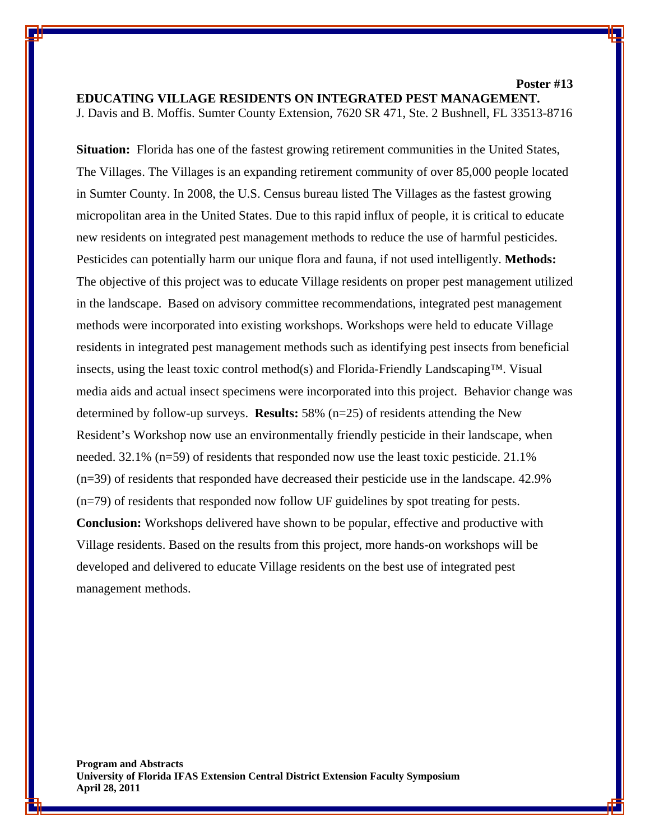### **Poster #13 EDUCATING VILLAGE RESIDENTS ON INTEGRATED PEST MANAGEMENT.**  J. Davis and B. Moffis. Sumter County Extension, 7620 SR 471, Ste. 2 Bushnell, FL 33513-8716

**Situation:** Florida has one of the fastest growing retirement communities in the United States, The Villages. The Villages is an expanding retirement community of over 85,000 people located in Sumter County. In 2008, the U.S. Census bureau listed The Villages as the fastest growing micropolitan area in the United States. Due to this rapid influx of people, it is critical to educate new residents on integrated pest management methods to reduce the use of harmful pesticides. Pesticides can potentially harm our unique flora and fauna, if not used intelligently. **Methods:** The objective of this project was to educate Village residents on proper pest management utilized in the landscape. Based on advisory committee recommendations, integrated pest management methods were incorporated into existing workshops. Workshops were held to educate Village residents in integrated pest management methods such as identifying pest insects from beneficial insects, using the least toxic control method(s) and Florida-Friendly Landscaping™. Visual media aids and actual insect specimens were incorporated into this project. Behavior change was determined by follow-up surveys. **Results:** 58% (n=25) of residents attending the New Resident's Workshop now use an environmentally friendly pesticide in their landscape, when needed. 32.1% (n=59) of residents that responded now use the least toxic pesticide. 21.1% (n=39) of residents that responded have decreased their pesticide use in the landscape. 42.9% (n=79) of residents that responded now follow UF guidelines by spot treating for pests. **Conclusion:** Workshops delivered have shown to be popular, effective and productive with Village residents. Based on the results from this project, more hands-on workshops will be developed and delivered to educate Village residents on the best use of integrated pest management methods.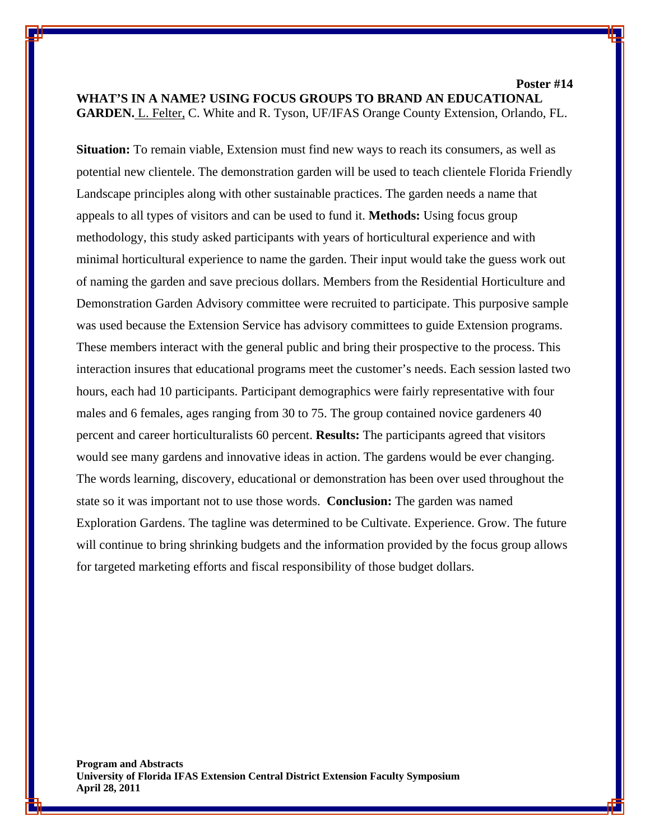## **Poster #14 WHAT'S IN A NAME? USING FOCUS GROUPS TO BRAND AN EDUCATIONAL GARDEN.** L. Felter, C. White and R. Tyson, UF/IFAS Orange County Extension, Orlando, FL.

**Situation:** To remain viable, Extension must find new ways to reach its consumers, as well as potential new clientele. The demonstration garden will be used to teach clientele Florida Friendly Landscape principles along with other sustainable practices. The garden needs a name that appeals to all types of visitors and can be used to fund it. **Methods:** Using focus group methodology, this study asked participants with years of horticultural experience and with minimal horticultural experience to name the garden. Their input would take the guess work out of naming the garden and save precious dollars. Members from the Residential Horticulture and Demonstration Garden Advisory committee were recruited to participate. This purposive sample was used because the Extension Service has advisory committees to guide Extension programs. These members interact with the general public and bring their prospective to the process. This interaction insures that educational programs meet the customer's needs. Each session lasted two hours, each had 10 participants. Participant demographics were fairly representative with four males and 6 females, ages ranging from 30 to 75. The group contained novice gardeners 40 percent and career horticulturalists 60 percent. **Results:** The participants agreed that visitors would see many gardens and innovative ideas in action. The gardens would be ever changing. The words learning, discovery, educational or demonstration has been over used throughout the state so it was important not to use those words. **Conclusion:** The garden was named Exploration Gardens. The tagline was determined to be Cultivate. Experience. Grow. The future will continue to bring shrinking budgets and the information provided by the focus group allows for targeted marketing efforts and fiscal responsibility of those budget dollars.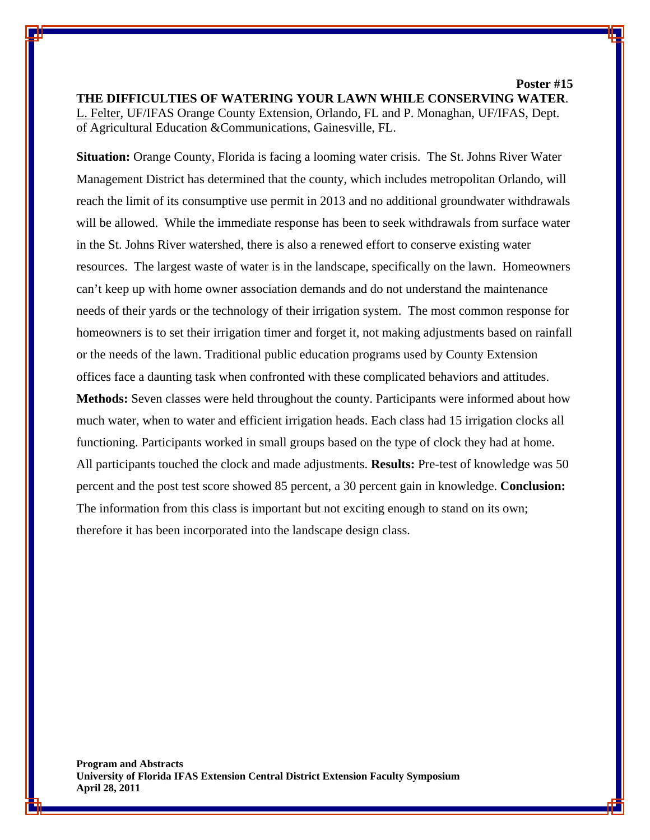**THE DIFFICULTIES OF WATERING YOUR LAWN WHILE CONSERVING WATER**. L. Felter, UF/IFAS Orange County Extension, Orlando, FL and P. Monaghan, UF/IFAS, Dept. of Agricultural Education &Communications, Gainesville, FL.

**Poster #15** 

**Situation:** Orange County, Florida is facing a looming water crisis. The St. Johns River Water Management District has determined that the county, which includes metropolitan Orlando, will reach the limit of its consumptive use permit in 2013 and no additional groundwater withdrawals will be allowed. While the immediate response has been to seek withdrawals from surface water in the St. Johns River watershed, there is also a renewed effort to conserve existing water resources. The largest waste of water is in the landscape, specifically on the lawn. Homeowners can't keep up with home owner association demands and do not understand the maintenance needs of their yards or the technology of their irrigation system. The most common response for homeowners is to set their irrigation timer and forget it, not making adjustments based on rainfall or the needs of the lawn. Traditional public education programs used by County Extension offices face a daunting task when confronted with these complicated behaviors and attitudes. **Methods:** Seven classes were held throughout the county. Participants were informed about how much water, when to water and efficient irrigation heads. Each class had 15 irrigation clocks all functioning. Participants worked in small groups based on the type of clock they had at home. All participants touched the clock and made adjustments. **Results:** Pre-test of knowledge was 50 percent and the post test score showed 85 percent, a 30 percent gain in knowledge. **Conclusion:**  The information from this class is important but not exciting enough to stand on its own; therefore it has been incorporated into the landscape design class.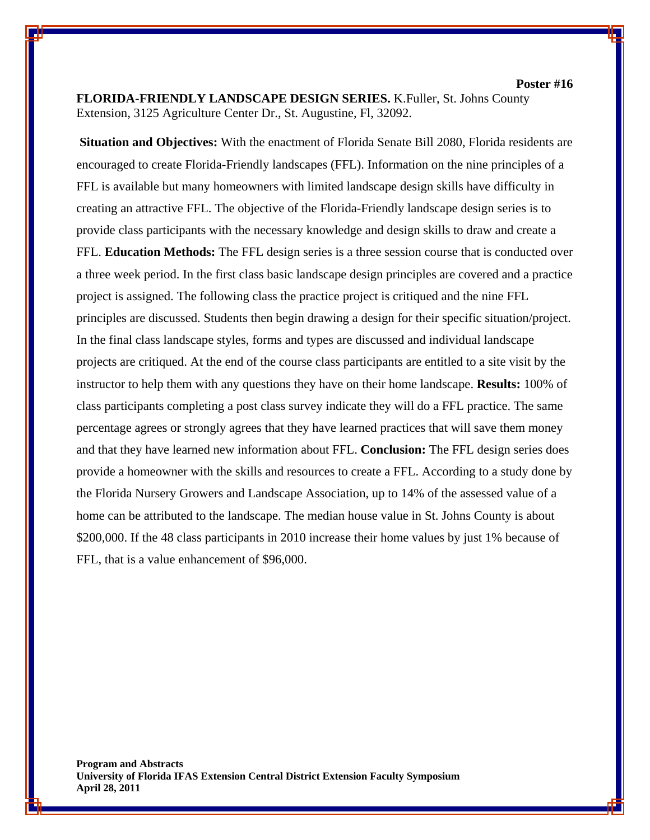**Poster #16 FLORIDA-FRIENDLY LANDSCAPE DESIGN SERIES.** K.Fuller, St. Johns County Extension, 3125 Agriculture Center Dr., St. Augustine, Fl, 32092.

**Situation and Objectives:** With the enactment of Florida Senate Bill 2080, Florida residents are encouraged to create Florida-Friendly landscapes (FFL). Information on the nine principles of a FFL is available but many homeowners with limited landscape design skills have difficulty in creating an attractive FFL. The objective of the Florida-Friendly landscape design series is to provide class participants with the necessary knowledge and design skills to draw and create a FFL. **Education Methods:** The FFL design series is a three session course that is conducted over a three week period. In the first class basic landscape design principles are covered and a practice project is assigned. The following class the practice project is critiqued and the nine FFL principles are discussed. Students then begin drawing a design for their specific situation/project. In the final class landscape styles, forms and types are discussed and individual landscape projects are critiqued. At the end of the course class participants are entitled to a site visit by the instructor to help them with any questions they have on their home landscape. **Results:** 100% of class participants completing a post class survey indicate they will do a FFL practice. The same percentage agrees or strongly agrees that they have learned practices that will save them money and that they have learned new information about FFL. **Conclusion:** The FFL design series does provide a homeowner with the skills and resources to create a FFL. According to a study done by the Florida Nursery Growers and Landscape Association, up to 14% of the assessed value of a home can be attributed to the landscape. The median house value in St. Johns County is about \$200,000. If the 48 class participants in 2010 increase their home values by just 1% because of FFL, that is a value enhancement of \$96,000.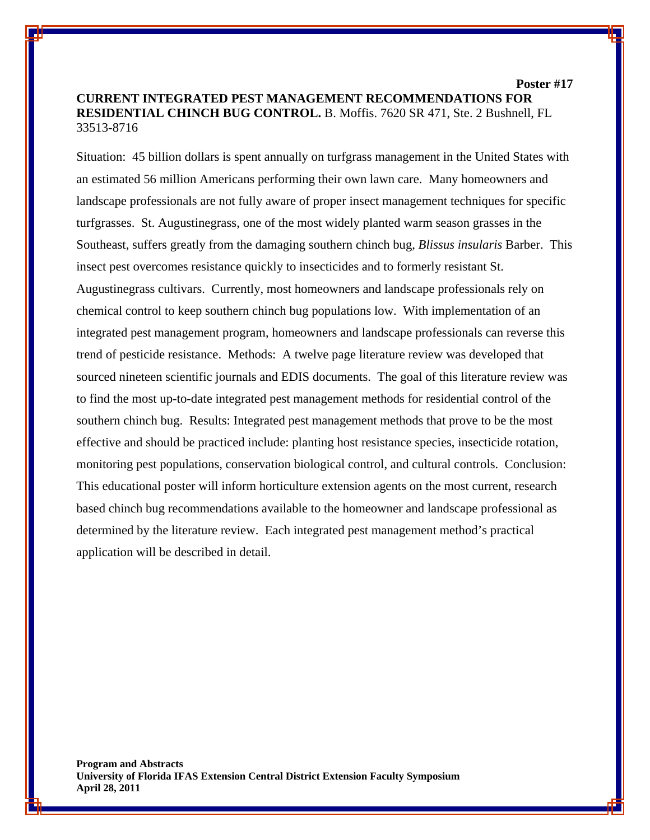## **CURRENT INTEGRATED PEST MANAGEMENT RECOMMENDATIONS FOR RESIDENTIAL CHINCH BUG CONTROL.** B. Moffis. 7620 SR 471, Ste. 2 Bushnell, FL 33513-8716

Situation: 45 billion dollars is spent annually on turfgrass management in the United States with an estimated 56 million Americans performing their own lawn care. Many homeowners and landscape professionals are not fully aware of proper insect management techniques for specific turfgrasses. St. Augustinegrass, one of the most widely planted warm season grasses in the Southeast, suffers greatly from the damaging southern chinch bug, *Blissus insularis* Barber. This insect pest overcomes resistance quickly to insecticides and to formerly resistant St. Augustinegrass cultivars. Currently, most homeowners and landscape professionals rely on chemical control to keep southern chinch bug populations low. With implementation of an integrated pest management program, homeowners and landscape professionals can reverse this trend of pesticide resistance. Methods: A twelve page literature review was developed that sourced nineteen scientific journals and EDIS documents. The goal of this literature review was to find the most up-to-date integrated pest management methods for residential control of the southern chinch bug. Results: Integrated pest management methods that prove to be the most effective and should be practiced include: planting host resistance species, insecticide rotation, monitoring pest populations, conservation biological control, and cultural controls. Conclusion: This educational poster will inform horticulture extension agents on the most current, research based chinch bug recommendations available to the homeowner and landscape professional as determined by the literature review. Each integrated pest management method's practical application will be described in detail.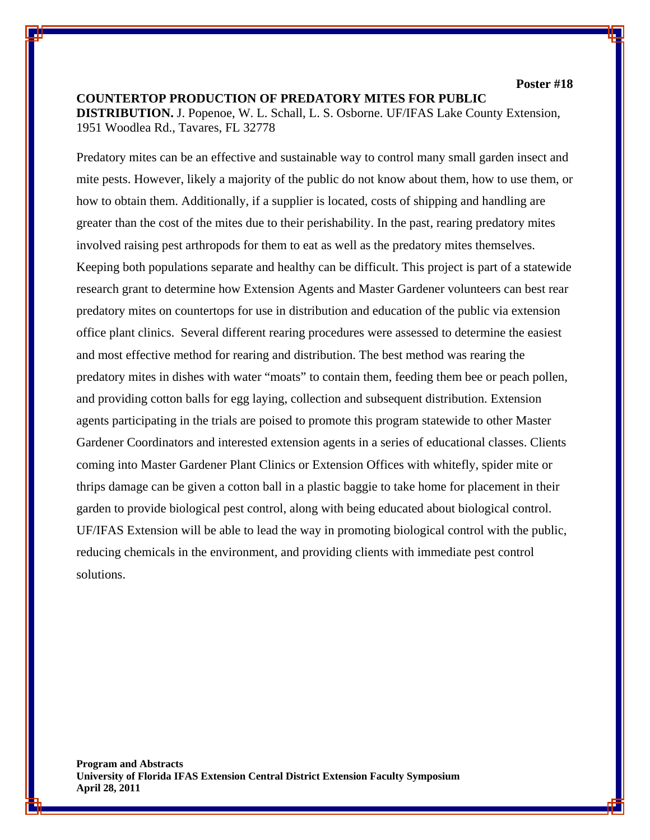**COUNTERTOP PRODUCTION OF PREDATORY MITES FOR PUBLIC DISTRIBUTION.** J. Popenoe, W. L. Schall, L. S. Osborne. UF/IFAS Lake County Extension, 1951 Woodlea Rd., Tavares, FL 32778

Predatory mites can be an effective and sustainable way to control many small garden insect and mite pests. However, likely a majority of the public do not know about them, how to use them, or how to obtain them. Additionally, if a supplier is located, costs of shipping and handling are greater than the cost of the mites due to their perishability. In the past, rearing predatory mites involved raising pest arthropods for them to eat as well as the predatory mites themselves. Keeping both populations separate and healthy can be difficult. This project is part of a statewide research grant to determine how Extension Agents and Master Gardener volunteers can best rear predatory mites on countertops for use in distribution and education of the public via extension office plant clinics. Several different rearing procedures were assessed to determine the easiest and most effective method for rearing and distribution. The best method was rearing the predatory mites in dishes with water "moats" to contain them, feeding them bee or peach pollen, and providing cotton balls for egg laying, collection and subsequent distribution. Extension agents participating in the trials are poised to promote this program statewide to other Master Gardener Coordinators and interested extension agents in a series of educational classes. Clients coming into Master Gardener Plant Clinics or Extension Offices with whitefly, spider mite or thrips damage can be given a cotton ball in a plastic baggie to take home for placement in their garden to provide biological pest control, along with being educated about biological control. UF/IFAS Extension will be able to lead the way in promoting biological control with the public, reducing chemicals in the environment, and providing clients with immediate pest control solutions.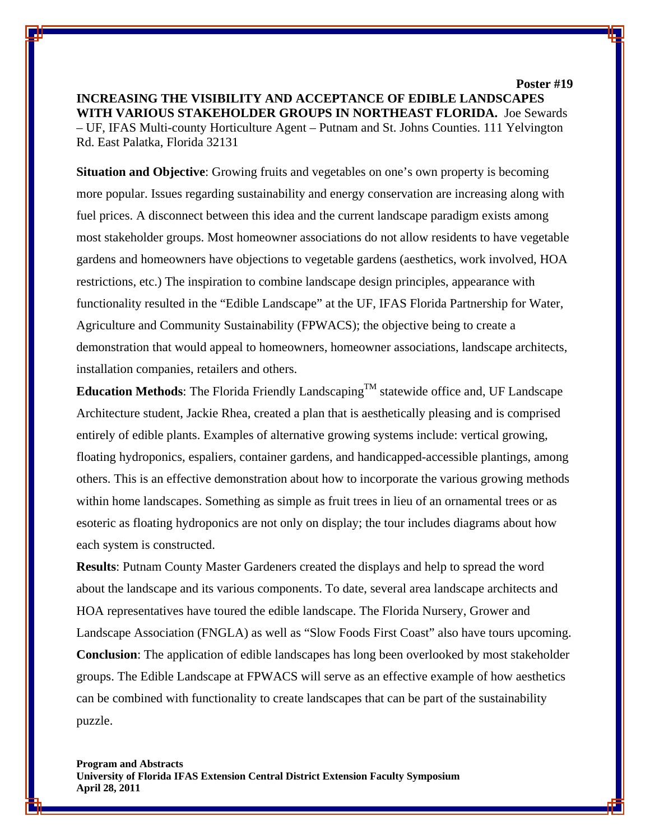**INCREASING THE VISIBILITY AND ACCEPTANCE OF EDIBLE LANDSCAPES WITH VARIOUS STAKEHOLDER GROUPS IN NORTHEAST FLORIDA.** Joe Sewards – UF, IFAS Multi-county Horticulture Agent – Putnam and St. Johns Counties. 111 Yelvington Rd. East Palatka, Florida 32131

**Poster #19** 

**Situation and Objective**: Growing fruits and vegetables on one's own property is becoming more popular. Issues regarding sustainability and energy conservation are increasing along with fuel prices. A disconnect between this idea and the current landscape paradigm exists among most stakeholder groups. Most homeowner associations do not allow residents to have vegetable gardens and homeowners have objections to vegetable gardens (aesthetics, work involved, HOA restrictions, etc.) The inspiration to combine landscape design principles, appearance with functionality resulted in the "Edible Landscape" at the UF, IFAS Florida Partnership for Water, Agriculture and Community Sustainability (FPWACS); the objective being to create a demonstration that would appeal to homeowners, homeowner associations, landscape architects, installation companies, retailers and others.

**Education Methods:** The Florida Friendly Landscaping<sup>TM</sup> statewide office and, UF Landscape Architecture student, Jackie Rhea, created a plan that is aesthetically pleasing and is comprised entirely of edible plants. Examples of alternative growing systems include: vertical growing, floating hydroponics, espaliers, container gardens, and handicapped-accessible plantings, among others. This is an effective demonstration about how to incorporate the various growing methods within home landscapes. Something as simple as fruit trees in lieu of an ornamental trees or as esoteric as floating hydroponics are not only on display; the tour includes diagrams about how each system is constructed.

**Results**: Putnam County Master Gardeners created the displays and help to spread the word about the landscape and its various components. To date, several area landscape architects and HOA representatives have toured the edible landscape. The Florida Nursery, Grower and Landscape Association (FNGLA) as well as "Slow Foods First Coast" also have tours upcoming. **Conclusion**: The application of edible landscapes has long been overlooked by most stakeholder groups. The Edible Landscape at FPWACS will serve as an effective example of how aesthetics can be combined with functionality to create landscapes that can be part of the sustainability puzzle.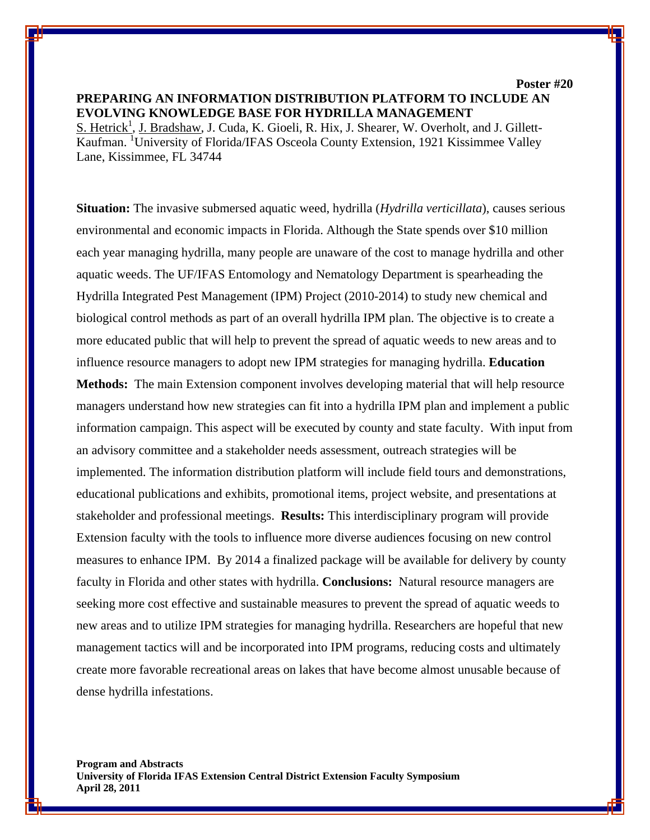# **PREPARING AN INFORMATION DISTRIBUTION PLATFORM TO INCLUDE AN EVOLVING KNOWLEDGE BASE FOR HYDRILLA MANAGEMENT**

**Poster #20** 

S. Hetrick<sup>1</sup>, J. Bradshaw, J. Cuda, K. Gioeli, R. Hix, J. Shearer, W. Overholt, and J. Gillett-Kaufman. University of Florida/IFAS Osceola County Extension, 1921 Kissimmee Valley Lane, Kissimmee, FL 34744

**Situation:** The invasive submersed aquatic weed, hydrilla (*Hydrilla verticillata*), causes serious environmental and economic impacts in Florida. Although the State spends over \$10 million each year managing hydrilla, many people are unaware of the cost to manage hydrilla and other aquatic weeds. The UF/IFAS Entomology and Nematology Department is spearheading the Hydrilla Integrated Pest Management (IPM) Project (2010-2014) to study new chemical and biological control methods as part of an overall hydrilla IPM plan. The objective is to create a more educated public that will help to prevent the spread of aquatic weeds to new areas and to influence resource managers to adopt new IPM strategies for managing hydrilla. **Education Methods:** The main Extension component involves developing material that will help resource managers understand how new strategies can fit into a hydrilla IPM plan and implement a public information campaign. This aspect will be executed by county and state faculty. With input from an advisory committee and a stakeholder needs assessment, outreach strategies will be implemented. The information distribution platform will include field tours and demonstrations, educational publications and exhibits, promotional items, project website, and presentations at stakeholder and professional meetings. **Results:** This interdisciplinary program will provide Extension faculty with the tools to influence more diverse audiences focusing on new control measures to enhance IPM. By 2014 a finalized package will be available for delivery by county faculty in Florida and other states with hydrilla. **Conclusions:** Natural resource managers are seeking more cost effective and sustainable measures to prevent the spread of aquatic weeds to new areas and to utilize IPM strategies for managing hydrilla. Researchers are hopeful that new management tactics will and be incorporated into IPM programs, reducing costs and ultimately create more favorable recreational areas on lakes that have become almost unusable because of dense hydrilla infestations.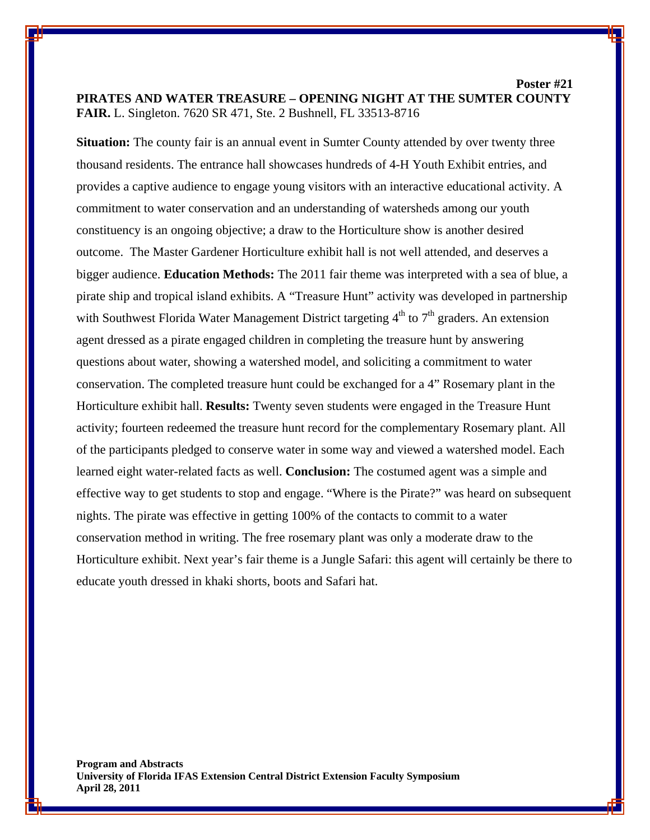**Poster #21 PIRATES AND WATER TREASURE – OPENING NIGHT AT THE SUMTER COUNTY FAIR.** L. Singleton. 7620 SR 471, Ste. 2 Bushnell, FL 33513-8716

**Situation:** The county fair is an annual event in Sumter County attended by over twenty three thousand residents. The entrance hall showcases hundreds of 4-H Youth Exhibit entries, and provides a captive audience to engage young visitors with an interactive educational activity. A commitment to water conservation and an understanding of watersheds among our youth constituency is an ongoing objective; a draw to the Horticulture show is another desired outcome. The Master Gardener Horticulture exhibit hall is not well attended, and deserves a bigger audience. **Education Methods:** The 2011 fair theme was interpreted with a sea of blue, a pirate ship and tropical island exhibits. A "Treasure Hunt" activity was developed in partnership with Southwest Florida Water Management District targeting  $4<sup>th</sup>$  to  $7<sup>th</sup>$  graders. An extension agent dressed as a pirate engaged children in completing the treasure hunt by answering questions about water, showing a watershed model, and soliciting a commitment to water conservation. The completed treasure hunt could be exchanged for a 4" Rosemary plant in the Horticulture exhibit hall. **Results:** Twenty seven students were engaged in the Treasure Hunt activity; fourteen redeemed the treasure hunt record for the complementary Rosemary plant. All of the participants pledged to conserve water in some way and viewed a watershed model. Each learned eight water-related facts as well. **Conclusion:** The costumed agent was a simple and effective way to get students to stop and engage. "Where is the Pirate?" was heard on subsequent nights. The pirate was effective in getting 100% of the contacts to commit to a water conservation method in writing. The free rosemary plant was only a moderate draw to the Horticulture exhibit. Next year's fair theme is a Jungle Safari: this agent will certainly be there to educate youth dressed in khaki shorts, boots and Safari hat.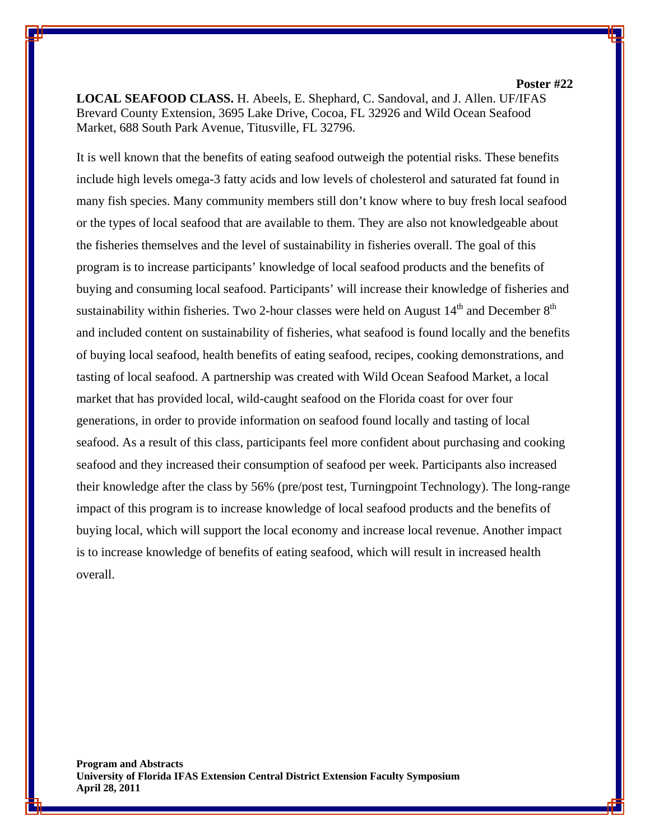**LOCAL SEAFOOD CLASS.** H. Abeels, E. Shephard, C. Sandoval, and J. Allen. UF/IFAS Brevard County Extension, 3695 Lake Drive, Cocoa, FL 32926 and Wild Ocean Seafood Market, 688 South Park Avenue, Titusville, FL 32796.

It is well known that the benefits of eating seafood outweigh the potential risks. These benefits include high levels omega-3 fatty acids and low levels of cholesterol and saturated fat found in many fish species. Many community members still don't know where to buy fresh local seafood or the types of local seafood that are available to them. They are also not knowledgeable about the fisheries themselves and the level of sustainability in fisheries overall. The goal of this program is to increase participants' knowledge of local seafood products and the benefits of buying and consuming local seafood. Participants' will increase their knowledge of fisheries and sustainability within fisheries. Two 2-hour classes were held on August  $14<sup>th</sup>$  and December  $8<sup>th</sup>$ and included content on sustainability of fisheries, what seafood is found locally and the benefits of buying local seafood, health benefits of eating seafood, recipes, cooking demonstrations, and tasting of local seafood. A partnership was created with Wild Ocean Seafood Market, a local market that has provided local, wild-caught seafood on the Florida coast for over four generations, in order to provide information on seafood found locally and tasting of local seafood. As a result of this class, participants feel more confident about purchasing and cooking seafood and they increased their consumption of seafood per week. Participants also increased their knowledge after the class by 56% (pre/post test, Turningpoint Technology). The long-range impact of this program is to increase knowledge of local seafood products and the benefits of buying local, which will support the local economy and increase local revenue. Another impact is to increase knowledge of benefits of eating seafood, which will result in increased health overall.

**Program and Abstracts University of Florida IFAS Extension Central District Extension Faculty Symposium April 28, 2011** 

#### **Poster #22**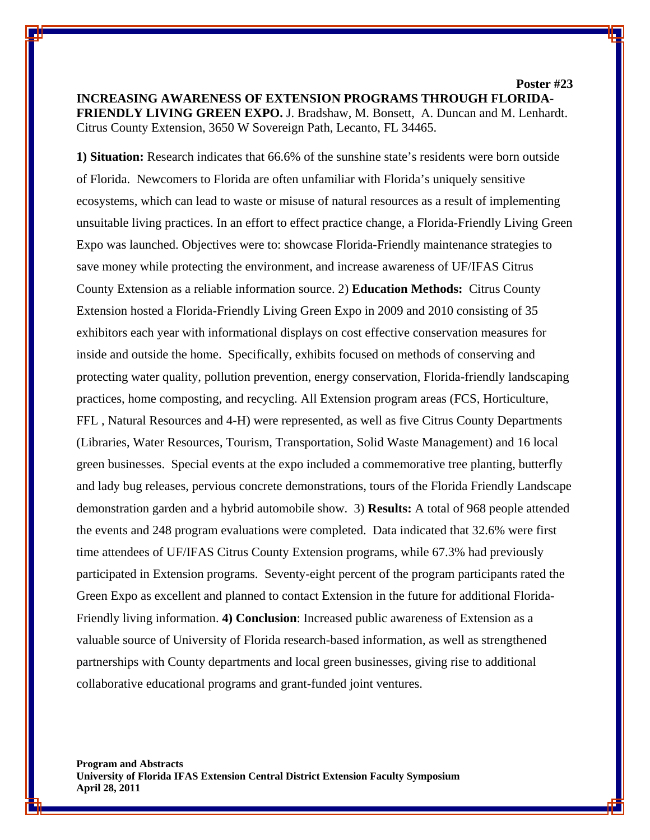**INCREASING AWARENESS OF EXTENSION PROGRAMS THROUGH FLORIDA-FRIENDLY LIVING GREEN EXPO.** J. Bradshaw, M. Bonsett, A. Duncan and M. Lenhardt. Citrus County Extension, 3650 W Sovereign Path, Lecanto, FL 34465.

**Poster #23** 

**1) Situation:** Research indicates that 66.6% of the sunshine state's residents were born outside of Florida. Newcomers to Florida are often unfamiliar with Florida's uniquely sensitive ecosystems, which can lead to waste or misuse of natural resources as a result of implementing unsuitable living practices. In an effort to effect practice change, a Florida-Friendly Living Green Expo was launched. Objectives were to: showcase Florida-Friendly maintenance strategies to save money while protecting the environment, and increase awareness of UF/IFAS Citrus County Extension as a reliable information source. 2) **Education Methods:** Citrus County Extension hosted a Florida-Friendly Living Green Expo in 2009 and 2010 consisting of 35 exhibitors each year with informational displays on cost effective conservation measures for inside and outside the home. Specifically, exhibits focused on methods of conserving and protecting water quality, pollution prevention, energy conservation, Florida-friendly landscaping practices, home composting, and recycling. All Extension program areas (FCS, Horticulture, FFL , Natural Resources and 4-H) were represented, as well as five Citrus County Departments (Libraries, Water Resources, Tourism, Transportation, Solid Waste Management) and 16 local green businesses. Special events at the expo included a commemorative tree planting, butterfly and lady bug releases, pervious concrete demonstrations, tours of the Florida Friendly Landscape demonstration garden and a hybrid automobile show. 3) **Results:** A total of 968 people attended the events and 248 program evaluations were completed. Data indicated that 32.6% were first time attendees of UF/IFAS Citrus County Extension programs, while 67.3% had previously participated in Extension programs. Seventy-eight percent of the program participants rated the Green Expo as excellent and planned to contact Extension in the future for additional Florida-Friendly living information. **4) Conclusion**: Increased public awareness of Extension as a valuable source of University of Florida research-based information, as well as strengthened partnerships with County departments and local green businesses, giving rise to additional collaborative educational programs and grant-funded joint ventures.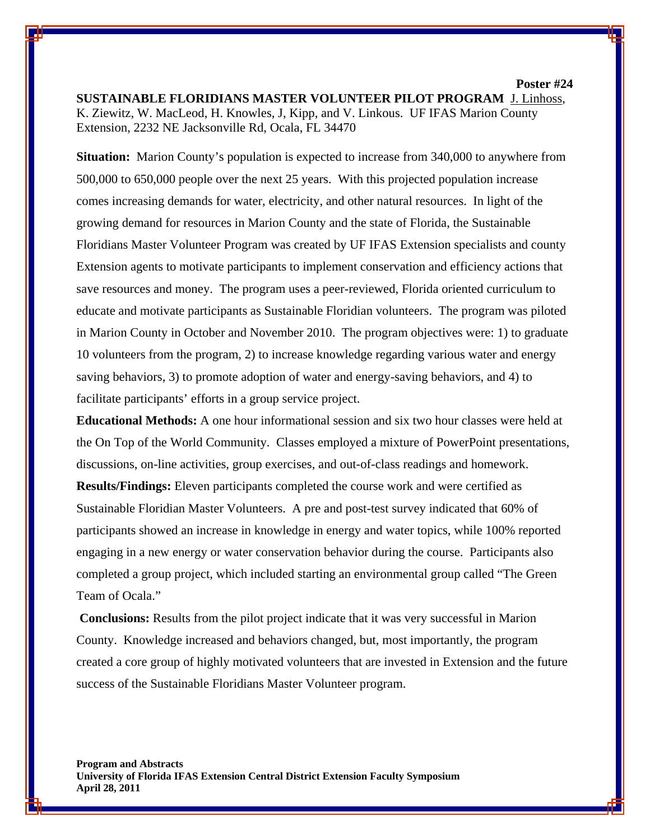**Poster #24** 

**SUSTAINABLE FLORIDIANS MASTER VOLUNTEER PILOT PROGRAM** J. Linhoss, K. Ziewitz, W. MacLeod, H. Knowles, J, Kipp, and V. Linkous. UF IFAS Marion County Extension, 2232 NE Jacksonville Rd, Ocala, FL 34470

**Situation:** Marion County's population is expected to increase from 340,000 to anywhere from 500,000 to 650,000 people over the next 25 years. With this projected population increase comes increasing demands for water, electricity, and other natural resources. In light of the growing demand for resources in Marion County and the state of Florida, the Sustainable Floridians Master Volunteer Program was created by UF IFAS Extension specialists and county Extension agents to motivate participants to implement conservation and efficiency actions that save resources and money. The program uses a peer-reviewed, Florida oriented curriculum to educate and motivate participants as Sustainable Floridian volunteers. The program was piloted in Marion County in October and November 2010. The program objectives were: 1) to graduate 10 volunteers from the program, 2) to increase knowledge regarding various water and energy saving behaviors, 3) to promote adoption of water and energy-saving behaviors, and 4) to facilitate participants' efforts in a group service project.

**Educational Methods:** A one hour informational session and six two hour classes were held at the On Top of the World Community. Classes employed a mixture of PowerPoint presentations, discussions, on-line activities, group exercises, and out-of-class readings and homework. **Results/Findings:** Eleven participants completed the course work and were certified as Sustainable Floridian Master Volunteers. A pre and post-test survey indicated that 60% of participants showed an increase in knowledge in energy and water topics, while 100% reported engaging in a new energy or water conservation behavior during the course. Participants also completed a group project, which included starting an environmental group called "The Green Team of Ocala."

**Conclusions:** Results from the pilot project indicate that it was very successful in Marion County. Knowledge increased and behaviors changed, but, most importantly, the program created a core group of highly motivated volunteers that are invested in Extension and the future success of the Sustainable Floridians Master Volunteer program.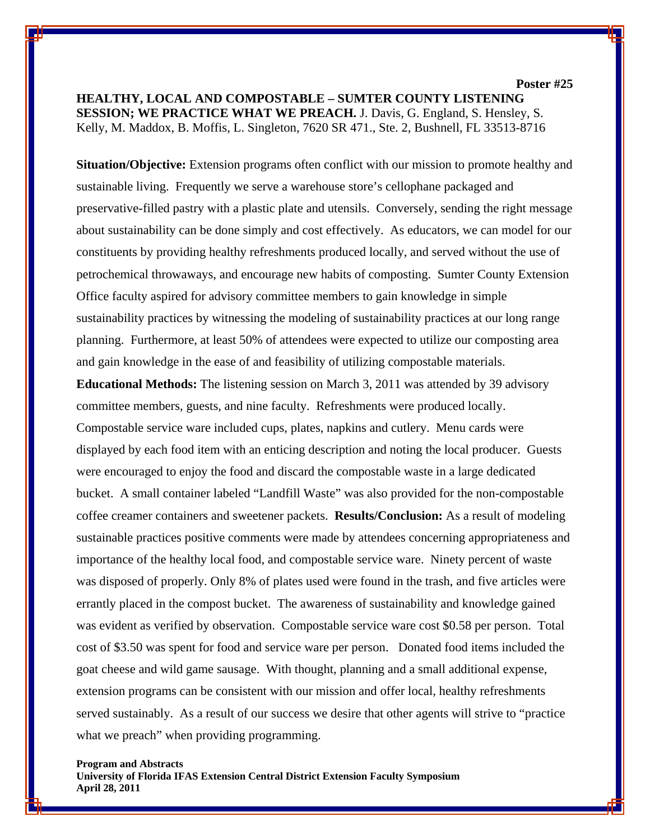## **HEALTHY, LOCAL AND COMPOSTABLE – SUMTER COUNTY LISTENING SESSION; WE PRACTICE WHAT WE PREACH.** J. Davis, G. England, S. Hensley, S. Kelly, M. Maddox, B. Moffis, L. Singleton, 7620 SR 471., Ste. 2, Bushnell, FL 33513-8716

**Situation/Objective:** Extension programs often conflict with our mission to promote healthy and sustainable living. Frequently we serve a warehouse store's cellophane packaged and preservative-filled pastry with a plastic plate and utensils. Conversely, sending the right message about sustainability can be done simply and cost effectively. As educators, we can model for our constituents by providing healthy refreshments produced locally, and served without the use of petrochemical throwaways, and encourage new habits of composting. Sumter County Extension Office faculty aspired for advisory committee members to gain knowledge in simple sustainability practices by witnessing the modeling of sustainability practices at our long range planning. Furthermore, at least 50% of attendees were expected to utilize our composting area and gain knowledge in the ease of and feasibility of utilizing compostable materials.

**Educational Methods:** The listening session on March 3, 2011 was attended by 39 advisory committee members, guests, and nine faculty. Refreshments were produced locally. Compostable service ware included cups, plates, napkins and cutlery. Menu cards were displayed by each food item with an enticing description and noting the local producer. Guests were encouraged to enjoy the food and discard the compostable waste in a large dedicated bucket. A small container labeled "Landfill Waste" was also provided for the non-compostable coffee creamer containers and sweetener packets. **Results/Conclusion:** As a result of modeling sustainable practices positive comments were made by attendees concerning appropriateness and importance of the healthy local food, and compostable service ware. Ninety percent of waste was disposed of properly. Only 8% of plates used were found in the trash, and five articles were errantly placed in the compost bucket. The awareness of sustainability and knowledge gained was evident as verified by observation. Compostable service ware cost \$0.58 per person. Total cost of \$3.50 was spent for food and service ware per person. Donated food items included the goat cheese and wild game sausage. With thought, planning and a small additional expense, extension programs can be consistent with our mission and offer local, healthy refreshments served sustainably. As a result of our success we desire that other agents will strive to "practice what we preach" when providing programming.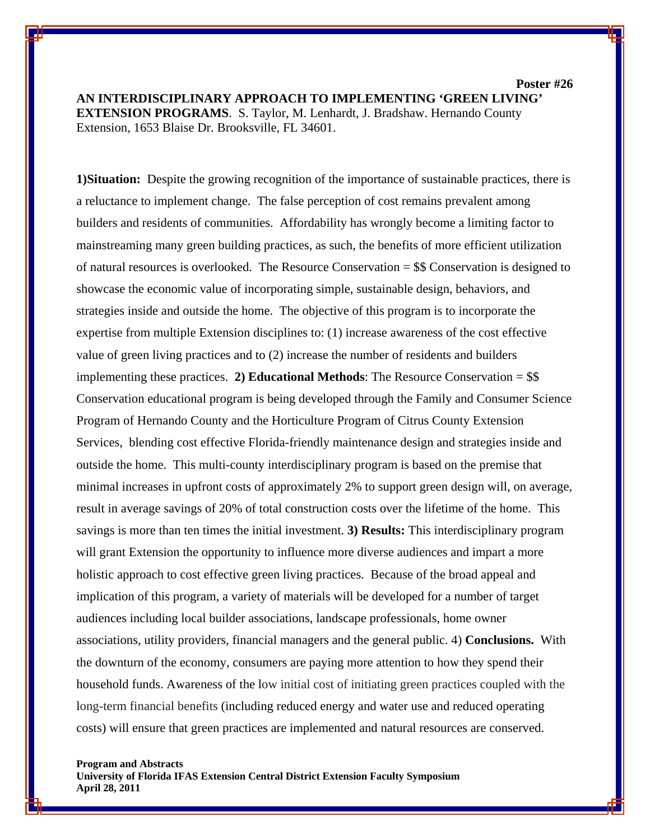**AN INTERDISCIPLINARY APPROACH TO IMPLEMENTING 'GREEN LIVING' EXTENSION PROGRAMS**. S. Taylor, M. Lenhardt, J. Bradshaw. Hernando County Extension, 1653 Blaise Dr. Brooksville, FL 34601.

**Poster #26** 

**1)Situation:** Despite the growing recognition of the importance of sustainable practices, there is a reluctance to implement change. The false perception of cost remains prevalent among builders and residents of communities. Affordability has wrongly become a limiting factor to mainstreaming many green building practices, as such, the benefits of more efficient utilization of natural resources is overlooked. The Resource Conservation = \$\$ Conservation is designed to showcase the economic value of incorporating simple, sustainable design, behaviors, and strategies inside and outside the home. The objective of this program is to incorporate the expertise from multiple Extension disciplines to: (1) increase awareness of the cost effective value of green living practices and to (2) increase the number of residents and builders implementing these practices. **2) Educational Methods**: The Resource Conservation = \$\$ Conservation educational program is being developed through the Family and Consumer Science Program of Hernando County and the Horticulture Program of Citrus County Extension Services, blending cost effective Florida-friendly maintenance design and strategies inside and outside the home. This multi-county interdisciplinary program is based on the premise that minimal increases in upfront costs of approximately 2% to support green design will, on average, result in average savings of 20% of total construction costs over the lifetime of the home. This savings is more than ten times the initial investment. **3) Results:** This interdisciplinary program will grant Extension the opportunity to influence more diverse audiences and impart a more holistic approach to cost effective green living practices. Because of the broad appeal and implication of this program, a variety of materials will be developed for a number of target audiences including local builder associations, landscape professionals, home owner associations, utility providers, financial managers and the general public. 4) **Conclusions.** With the downturn of the economy, consumers are paying more attention to how they spend their household funds. Awareness of the low initial cost of initiating green practices coupled with the long-term financial benefits (including reduced energy and water use and reduced operating costs) will ensure that green practices are implemented and natural resources are conserved.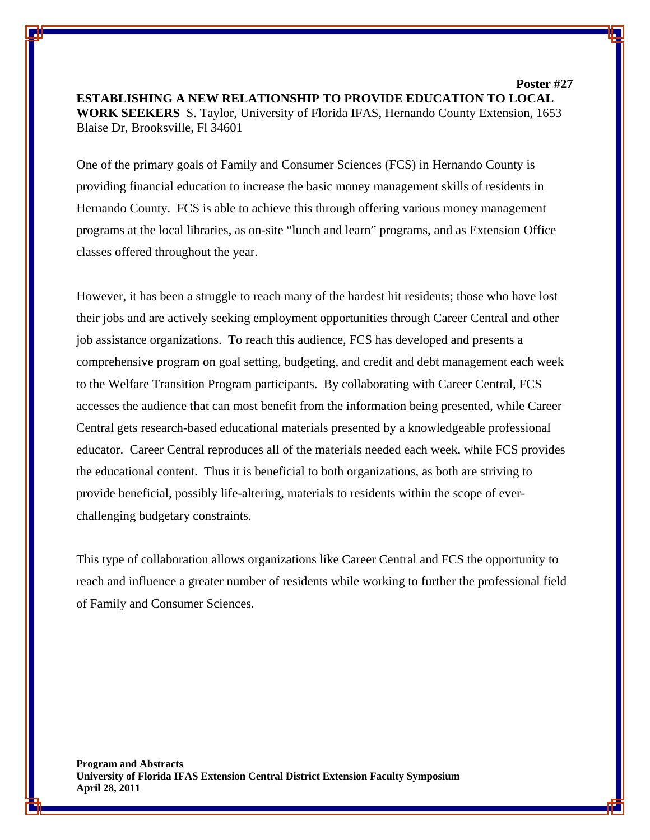**Poster #27 ESTABLISHING A NEW RELATIONSHIP TO PROVIDE EDUCATION TO LOCAL WORK SEEKERS** S. Taylor, University of Florida IFAS, Hernando County Extension, 1653 Blaise Dr, Brooksville, Fl 34601

One of the primary goals of Family and Consumer Sciences (FCS) in Hernando County is providing financial education to increase the basic money management skills of residents in Hernando County. FCS is able to achieve this through offering various money management programs at the local libraries, as on-site "lunch and learn" programs, and as Extension Office classes offered throughout the year.

However, it has been a struggle to reach many of the hardest hit residents; those who have lost their jobs and are actively seeking employment opportunities through Career Central and other job assistance organizations. To reach this audience, FCS has developed and presents a comprehensive program on goal setting, budgeting, and credit and debt management each week to the Welfare Transition Program participants. By collaborating with Career Central, FCS accesses the audience that can most benefit from the information being presented, while Career Central gets research-based educational materials presented by a knowledgeable professional educator. Career Central reproduces all of the materials needed each week, while FCS provides the educational content. Thus it is beneficial to both organizations, as both are striving to provide beneficial, possibly life-altering, materials to residents within the scope of everchallenging budgetary constraints.

This type of collaboration allows organizations like Career Central and FCS the opportunity to reach and influence a greater number of residents while working to further the professional field of Family and Consumer Sciences.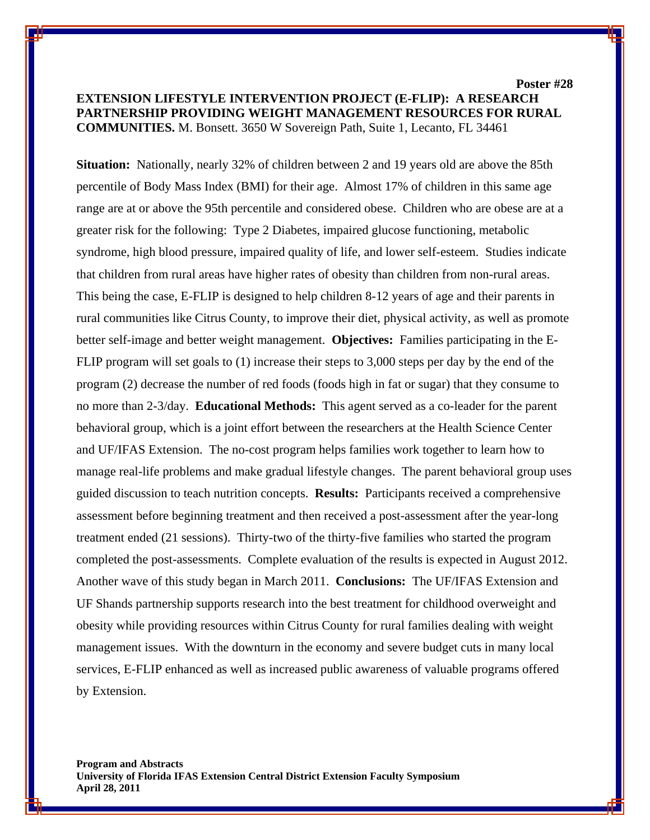## **Poster #28 EXTENSION LIFESTYLE INTERVENTION PROJECT (E-FLIP): A RESEARCH PARTNERSHIP PROVIDING WEIGHT MANAGEMENT RESOURCES FOR RURAL COMMUNITIES.** M. Bonsett. 3650 W Sovereign Path, Suite 1, Lecanto, FL 34461

**Situation:** Nationally, nearly 32% of children between 2 and 19 years old are above the 85th percentile of Body Mass Index (BMI) for their age. Almost 17% of children in this same age range are at or above the 95th percentile and considered obese. Children who are obese are at a greater risk for the following: Type 2 Diabetes, impaired glucose functioning, metabolic syndrome, high blood pressure, impaired quality of life, and lower self-esteem. Studies indicate that children from rural areas have higher rates of obesity than children from non-rural areas. This being the case, E-FLIP is designed to help children 8-12 years of age and their parents in rural communities like Citrus County, to improve their diet, physical activity, as well as promote better self-image and better weight management. **Objectives:** Families participating in the E-FLIP program will set goals to (1) increase their steps to 3,000 steps per day by the end of the program (2) decrease the number of red foods (foods high in fat or sugar) that they consume to no more than 2-3/day. **Educational Methods:** This agent served as a co-leader for the parent behavioral group, which is a joint effort between the researchers at the Health Science Center and UF/IFAS Extension. The no-cost program helps families work together to learn how to manage real-life problems and make gradual lifestyle changes. The parent behavioral group uses guided discussion to teach nutrition concepts. **Results:** Participants received a comprehensive assessment before beginning treatment and then received a post-assessment after the year-long treatment ended (21 sessions). Thirty-two of the thirty-five families who started the program completed the post-assessments. Complete evaluation of the results is expected in August 2012. Another wave of this study began in March 2011. **Conclusions:** The UF/IFAS Extension and UF Shands partnership supports research into the best treatment for childhood overweight and obesity while providing resources within Citrus County for rural families dealing with weight management issues. With the downturn in the economy and severe budget cuts in many local services, E-FLIP enhanced as well as increased public awareness of valuable programs offered by Extension.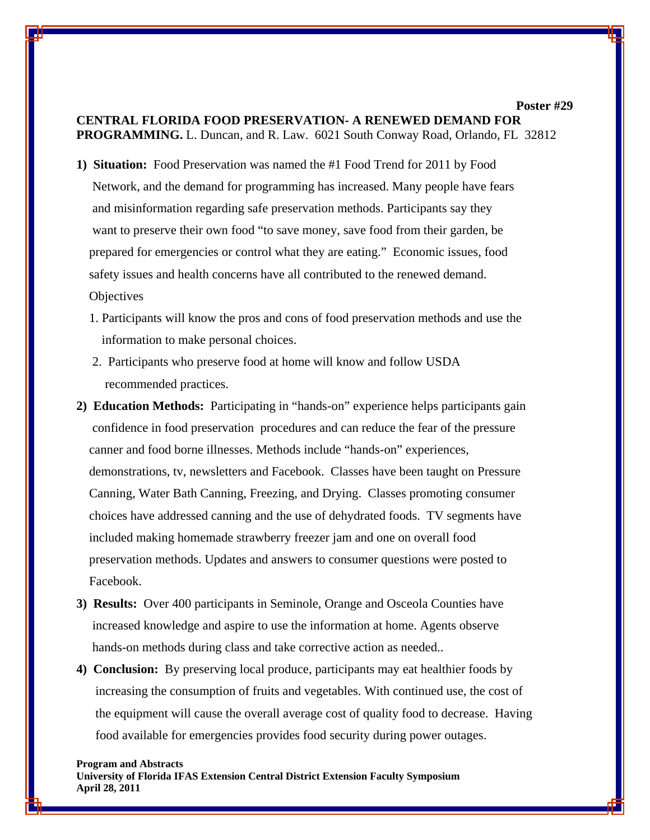#### **Poster #29**

### **CENTRAL FLORIDA FOOD PRESERVATION- A RENEWED DEMAND FOR PROGRAMMING.** L. Duncan, and R. Law. 6021 South Conway Road, Orlando, FL 32812

- **1) Situation:** Food Preservation was named the #1 Food Trend for 2011 by Food Network, and the demand for programming has increased. Many people have fears and misinformation regarding safe preservation methods. Participants say they want to preserve their own food "to save money, save food from their garden, be prepared for emergencies or control what they are eating." Economic issues, food safety issues and health concerns have all contributed to the renewed demand. **Objectives** 
	- 1. Participants will know the pros and cons of food preservation methods and use the information to make personal choices.
	- 2. Participants who preserve food at home will know and follow USDA recommended practices.
- **2) Education Methods:** Participating in "hands-on" experience helps participants gain confidence in food preservation procedures and can reduce the fear of the pressure canner and food borne illnesses. Methods include "hands-on" experiences, demonstrations, tv, newsletters and Facebook. Classes have been taught on Pressure Canning, Water Bath Canning, Freezing, and Drying. Classes promoting consumer choices have addressed canning and the use of dehydrated foods. TV segments have included making homemade strawberry freezer jam and one on overall food preservation methods. Updates and answers to consumer questions were posted to Facebook.
- **3) Results:** Over 400 participants in Seminole, Orange and Osceola Counties have increased knowledge and aspire to use the information at home. Agents observe hands-on methods during class and take corrective action as needed..
- **4) Conclusion:** By preserving local produce, participants may eat healthier foods by increasing the consumption of fruits and vegetables. With continued use, the cost of the equipment will cause the overall average cost of quality food to decrease. Having food available for emergencies provides food security during power outages.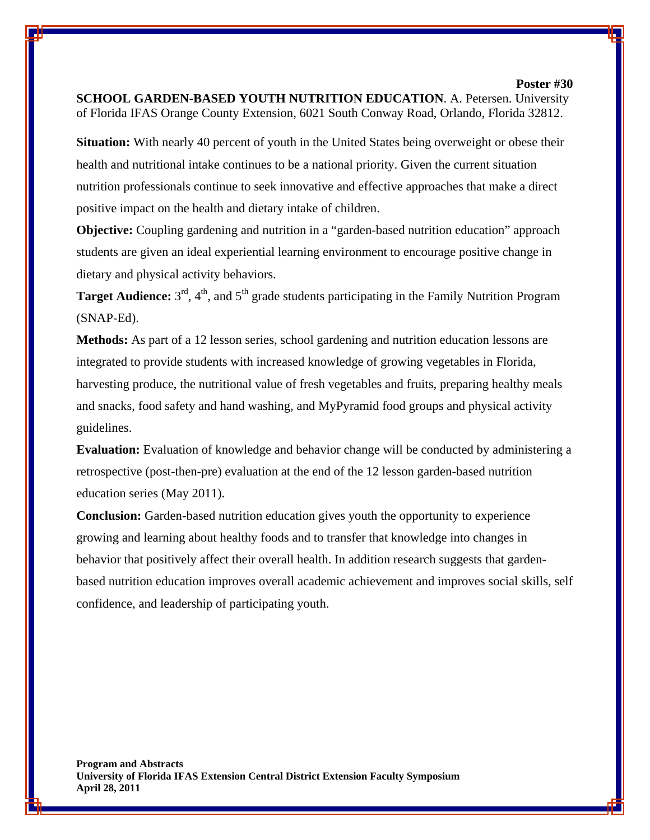#### **Poster #30**

**SCHOOL GARDEN-BASED YOUTH NUTRITION EDUCATION**. A. Petersen. University of Florida IFAS Orange County Extension, 6021 South Conway Road, Orlando, Florida 32812.

**Situation:** With nearly 40 percent of youth in the United States being overweight or obese their health and nutritional intake continues to be a national priority. Given the current situation nutrition professionals continue to seek innovative and effective approaches that make a direct positive impact on the health and dietary intake of children.

**Objective:** Coupling gardening and nutrition in a "garden-based nutrition education" approach students are given an ideal experiential learning environment to encourage positive change in dietary and physical activity behaviors.

**Target Audience:** 3<sup>rd</sup>, 4<sup>th</sup>, and 5<sup>th</sup> grade students participating in the Family Nutrition Program (SNAP-Ed).

**Methods:** As part of a 12 lesson series, school gardening and nutrition education lessons are integrated to provide students with increased knowledge of growing vegetables in Florida, harvesting produce, the nutritional value of fresh vegetables and fruits, preparing healthy meals and snacks, food safety and hand washing, and MyPyramid food groups and physical activity guidelines.

**Evaluation:** Evaluation of knowledge and behavior change will be conducted by administering a retrospective (post-then-pre) evaluation at the end of the 12 lesson garden-based nutrition education series (May 2011).

**Conclusion:** Garden-based nutrition education gives youth the opportunity to experience growing and learning about healthy foods and to transfer that knowledge into changes in behavior that positively affect their overall health. In addition research suggests that gardenbased nutrition education improves overall academic achievement and improves social skills, self confidence, and leadership of participating youth.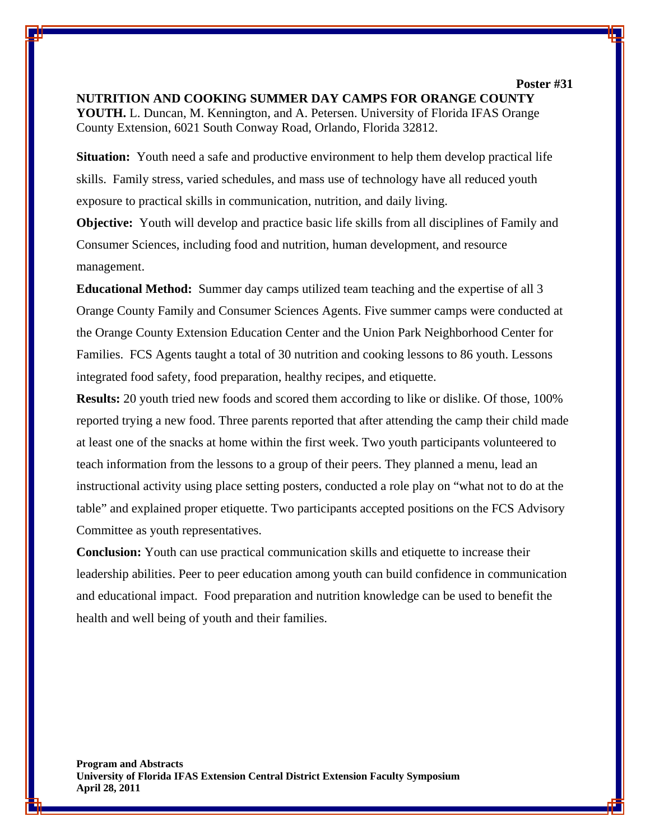**NUTRITION AND COOKING SUMMER DAY CAMPS FOR ORANGE COUNTY YOUTH.** L. Duncan, M. Kennington, and A. Petersen. University of Florida IFAS Orange County Extension, 6021 South Conway Road, Orlando, Florida 32812.

**Poster #31** 

**Situation:** Youth need a safe and productive environment to help them develop practical life skills. Family stress, varied schedules, and mass use of technology have all reduced youth exposure to practical skills in communication, nutrition, and daily living.

**Objective:** Youth will develop and practice basic life skills from all disciplines of Family and Consumer Sciences, including food and nutrition, human development, and resource management.

**Educational Method:** Summer day camps utilized team teaching and the expertise of all 3 Orange County Family and Consumer Sciences Agents. Five summer camps were conducted at the Orange County Extension Education Center and the Union Park Neighborhood Center for Families. FCS Agents taught a total of 30 nutrition and cooking lessons to 86 youth. Lessons integrated food safety, food preparation, healthy recipes, and etiquette.

**Results:** 20 youth tried new foods and scored them according to like or dislike. Of those, 100% reported trying a new food. Three parents reported that after attending the camp their child made at least one of the snacks at home within the first week. Two youth participants volunteered to teach information from the lessons to a group of their peers. They planned a menu, lead an instructional activity using place setting posters, conducted a role play on "what not to do at the table" and explained proper etiquette. Two participants accepted positions on the FCS Advisory Committee as youth representatives.

**Conclusion:** Youth can use practical communication skills and etiquette to increase their leadership abilities. Peer to peer education among youth can build confidence in communication and educational impact. Food preparation and nutrition knowledge can be used to benefit the health and well being of youth and their families.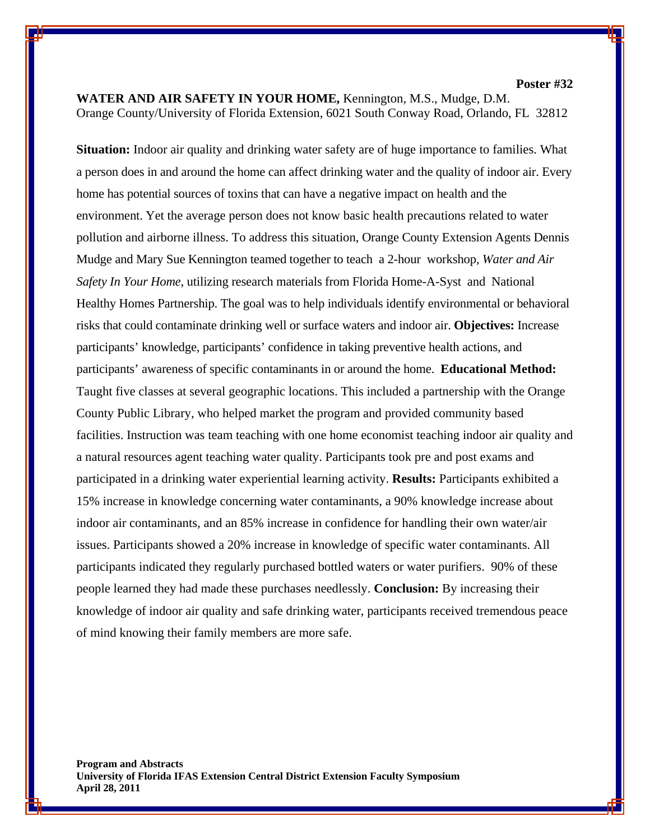**WATER AND AIR SAFETY IN YOUR HOME,** Kennington, M.S., Mudge, D.M. Orange County/University of Florida Extension, 6021 South Conway Road, Orlando, FL 32812

**Poster #32** 

**Situation:** Indoor air quality and drinking water safety are of huge importance to families. What a person does in and around the home can affect drinking water and the quality of indoor air. Every home has potential sources of toxins that can have a negative impact on health and the environment. Yet the average person does not know basic health precautions related to water pollution and airborne illness. To address this situation, Orange County Extension Agents Dennis Mudge and Mary Sue Kennington teamed together to teach a 2-hour workshop, *Water and Air Safety In Your Home*, utilizing research materials from Florida Home-A-Syst and National Healthy Homes Partnership. The goal was to help individuals identify environmental or behavioral risks that could contaminate drinking well or surface waters and indoor air. **Objectives:** Increase participants' knowledge, participants' confidence in taking preventive health actions, and participants' awareness of specific contaminants in or around the home. **Educational Method:** Taught five classes at several geographic locations. This included a partnership with the Orange County Public Library, who helped market the program and provided community based facilities. Instruction was team teaching with one home economist teaching indoor air quality and a natural resources agent teaching water quality. Participants took pre and post exams and participated in a drinking water experiential learning activity. **Results:** Participants exhibited a 15% increase in knowledge concerning water contaminants, a 90% knowledge increase about indoor air contaminants, and an 85% increase in confidence for handling their own water/air issues. Participants showed a 20% increase in knowledge of specific water contaminants. All participants indicated they regularly purchased bottled waters or water purifiers. 90% of these people learned they had made these purchases needlessly. **Conclusion:** By increasing their knowledge of indoor air quality and safe drinking water, participants received tremendous peace of mind knowing their family members are more safe.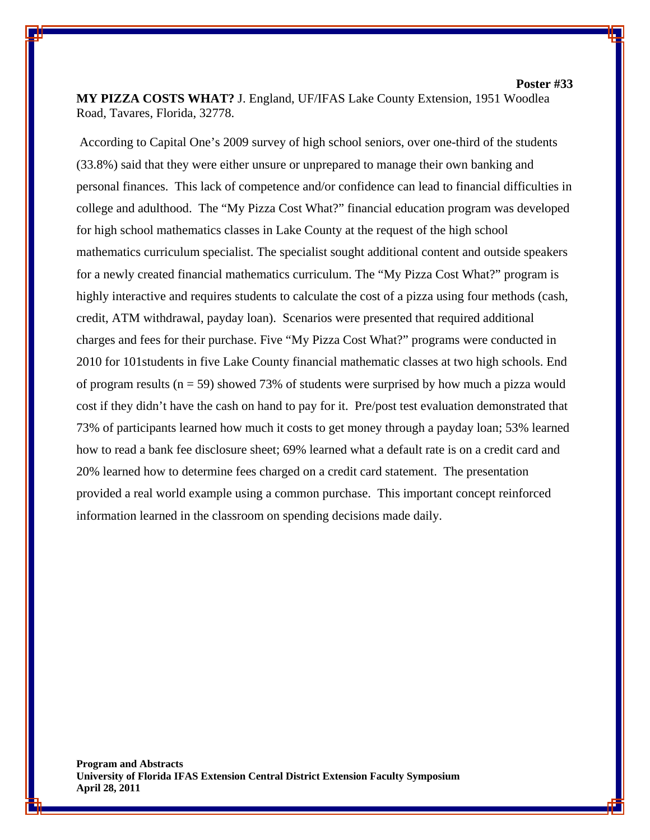**MY PIZZA COSTS WHAT?** J. England, UF/IFAS Lake County Extension, 1951 Woodlea Road, Tavares, Florida, 32778.

**Poster #33** 

 According to Capital One's 2009 survey of high school seniors, over one-third of the students (33.8%) said that they were either unsure or unprepared to manage their own banking and personal finances. This lack of competence and/or confidence can lead to financial difficulties in college and adulthood. The "My Pizza Cost What?" financial education program was developed for high school mathematics classes in Lake County at the request of the high school mathematics curriculum specialist. The specialist sought additional content and outside speakers for a newly created financial mathematics curriculum. The "My Pizza Cost What?" program is highly interactive and requires students to calculate the cost of a pizza using four methods (cash, credit, ATM withdrawal, payday loan). Scenarios were presented that required additional charges and fees for their purchase. Five "My Pizza Cost What?" programs were conducted in 2010 for 101students in five Lake County financial mathematic classes at two high schools. End of program results ( $n = 59$ ) showed 73% of students were surprised by how much a pizza would cost if they didn't have the cash on hand to pay for it. Pre/post test evaluation demonstrated that 73% of participants learned how much it costs to get money through a payday loan; 53% learned how to read a bank fee disclosure sheet; 69% learned what a default rate is on a credit card and 20% learned how to determine fees charged on a credit card statement. The presentation provided a real world example using a common purchase. This important concept reinforced information learned in the classroom on spending decisions made daily.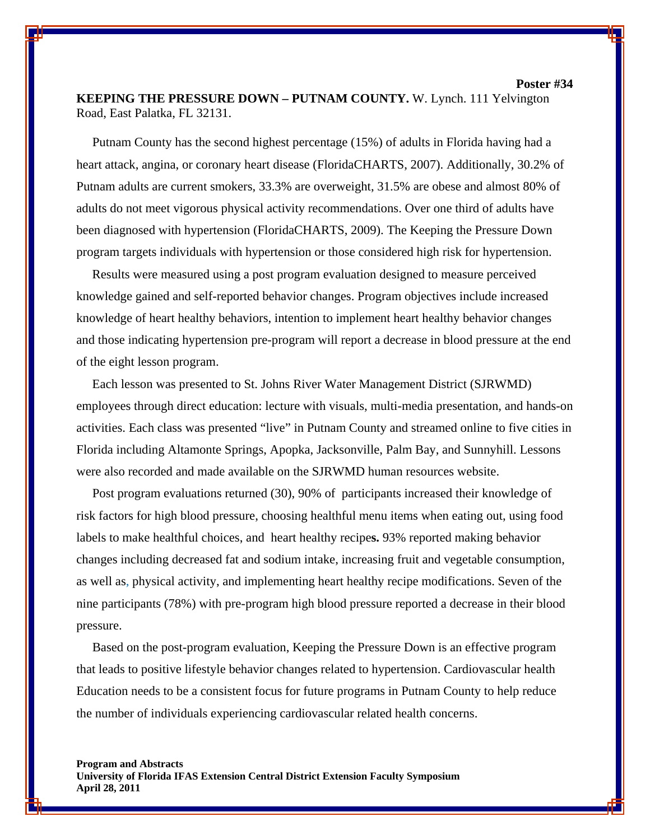**KEEPING THE PRESSURE DOWN – PUTNAM COUNTY.** W. Lynch. 111 Yelvington Road, East Palatka, FL 32131.

**Poster #34** 

 Putnam County has the second highest percentage (15%) of adults in Florida having had a heart attack, angina, or coronary heart disease (FloridaCHARTS, 2007). Additionally, 30.2% of Putnam adults are current smokers, 33.3% are overweight, 31.5% are obese and almost 80% of adults do not meet vigorous physical activity recommendations. Over one third of adults have been diagnosed with hypertension (FloridaCHARTS, 2009). The Keeping the Pressure Down program targets individuals with hypertension or those considered high risk for hypertension.

 Results were measured using a post program evaluation designed to measure perceived knowledge gained and self-reported behavior changes. Program objectives include increased knowledge of heart healthy behaviors, intention to implement heart healthy behavior changes and those indicating hypertension pre-program will report a decrease in blood pressure at the end of the eight lesson program.

 Each lesson was presented to St. Johns River Water Management District (SJRWMD) employees through direct education: lecture with visuals, multi-media presentation, and hands-on activities. Each class was presented "live" in Putnam County and streamed online to five cities in Florida including Altamonte Springs, Apopka, Jacksonville, Palm Bay, and Sunnyhill. Lessons were also recorded and made available on the SJRWMD human resources website.

 Post program evaluations returned (30), 90% of participants increased their knowledge of risk factors for high blood pressure, choosing healthful menu items when eating out, using food labels to make healthful choices, and heart healthy recipe**s.** 93% reported making behavior changes including decreased fat and sodium intake, increasing fruit and vegetable consumption, as well as, physical activity, and implementing heart healthy recipe modifications. Seven of the nine participants (78%) with pre-program high blood pressure reported a decrease in their blood pressure.

 Based on the post-program evaluation, Keeping the Pressure Down is an effective program that leads to positive lifestyle behavior changes related to hypertension. Cardiovascular health Education needs to be a consistent focus for future programs in Putnam County to help reduce the number of individuals experiencing cardiovascular related health concerns.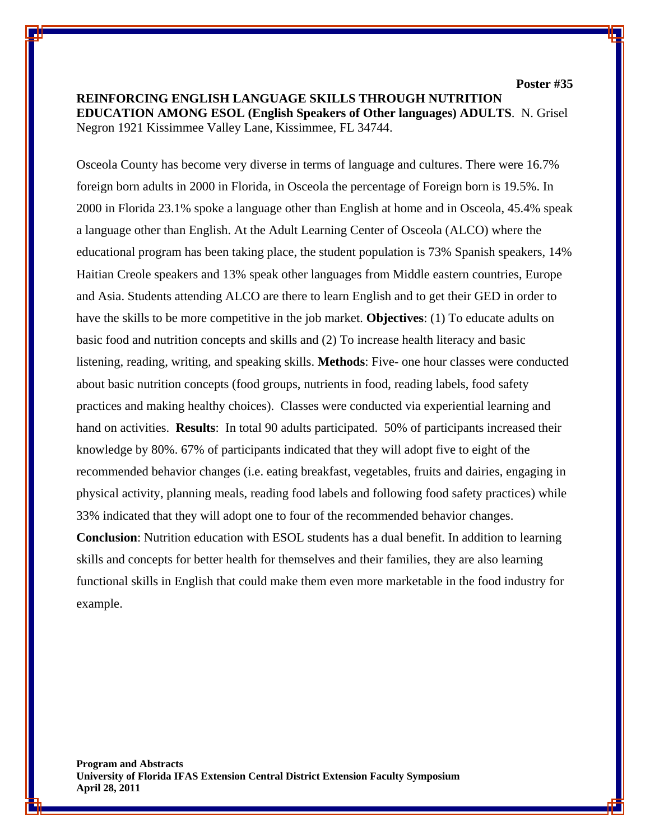**Poster #35** 

**REINFORCING ENGLISH LANGUAGE SKILLS THROUGH NUTRITION EDUCATION AMONG ESOL (English Speakers of Other languages) ADULTS**. N. Grisel Negron 1921 Kissimmee Valley Lane, Kissimmee, FL 34744.

Osceola County has become very diverse in terms of language and cultures. There were 16.7% foreign born adults in 2000 in Florida, in Osceola the percentage of Foreign born is 19.5%. In 2000 in Florida 23.1% spoke a language other than English at home and in Osceola, 45.4% speak a language other than English. At the Adult Learning Center of Osceola (ALCO) where the educational program has been taking place, the student population is 73% Spanish speakers, 14% Haitian Creole speakers and 13% speak other languages from Middle eastern countries, Europe and Asia. Students attending ALCO are there to learn English and to get their GED in order to have the skills to be more competitive in the job market. **Objectives**: (1) To educate adults on basic food and nutrition concepts and skills and (2) To increase health literacy and basic listening, reading, writing, and speaking skills. **Methods**: Five- one hour classes were conducted about basic nutrition concepts (food groups, nutrients in food, reading labels, food safety practices and making healthy choices). Classes were conducted via experiential learning and hand on activities. **Results**: In total 90 adults participated. 50% of participants increased their knowledge by 80%. 67% of participants indicated that they will adopt five to eight of the recommended behavior changes (i.e. eating breakfast, vegetables, fruits and dairies, engaging in physical activity, planning meals, reading food labels and following food safety practices) while 33% indicated that they will adopt one to four of the recommended behavior changes. **Conclusion**: Nutrition education with ESOL students has a dual benefit. In addition to learning skills and concepts for better health for themselves and their families, they are also learning functional skills in English that could make them even more marketable in the food industry for

example.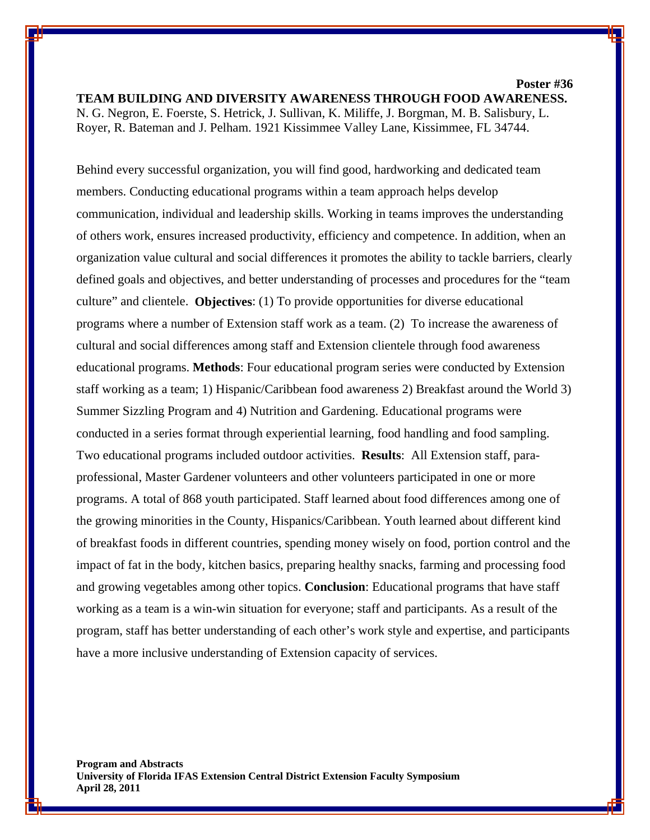**TEAM BUILDING AND DIVERSITY AWARENESS THROUGH FOOD AWARENESS.**  N. G. Negron, E. Foerste, S. Hetrick, J. Sullivan, K. Miliffe, J. Borgman, M. B. Salisbury, L. Royer, R. Bateman and J. Pelham. 1921 Kissimmee Valley Lane, Kissimmee, FL 34744.

**Poster #36** 

Behind every successful organization, you will find good, hardworking and dedicated team members. Conducting educational programs within a team approach helps develop communication, individual and leadership skills. Working in teams improves the understanding of others work, ensures increased productivity, efficiency and competence. In addition, when an organization value cultural and social differences it promotes the ability to tackle barriers, clearly defined goals and objectives, and better understanding of processes and procedures for the "team culture" and clientele. **Objectives**: (1) To provide opportunities for diverse educational programs where a number of Extension staff work as a team. (2) To increase the awareness of cultural and social differences among staff and Extension clientele through food awareness educational programs. **Methods**: Four educational program series were conducted by Extension staff working as a team; 1) Hispanic/Caribbean food awareness 2) Breakfast around the World 3) Summer Sizzling Program and 4) Nutrition and Gardening. Educational programs were conducted in a series format through experiential learning, food handling and food sampling. Two educational programs included outdoor activities. **Results**: All Extension staff, paraprofessional, Master Gardener volunteers and other volunteers participated in one or more programs. A total of 868 youth participated. Staff learned about food differences among one of the growing minorities in the County, Hispanics/Caribbean. Youth learned about different kind of breakfast foods in different countries, spending money wisely on food, portion control and the impact of fat in the body, kitchen basics, preparing healthy snacks, farming and processing food and growing vegetables among other topics. **Conclusion**: Educational programs that have staff working as a team is a win-win situation for everyone; staff and participants. As a result of the program, staff has better understanding of each other's work style and expertise, and participants have a more inclusive understanding of Extension capacity of services.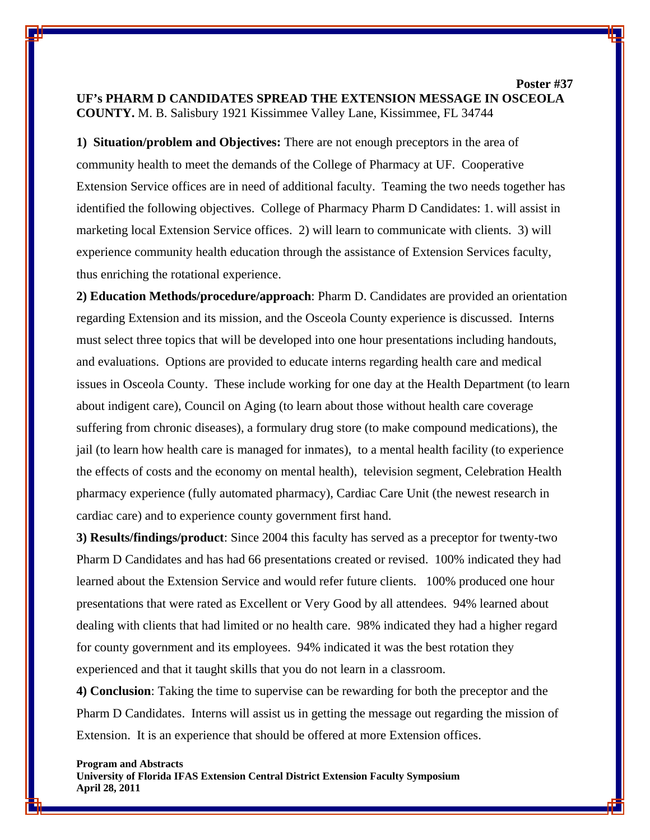### **Poster #37 UF's PHARM D CANDIDATES SPREAD THE EXTENSION MESSAGE IN OSCEOLA COUNTY.** M. B. Salisbury 1921 Kissimmee Valley Lane, Kissimmee, FL 34744

**1) Situation/problem and Objectives:** There are not enough preceptors in the area of community health to meet the demands of the College of Pharmacy at UF. Cooperative Extension Service offices are in need of additional faculty. Teaming the two needs together has identified the following objectives. College of Pharmacy Pharm D Candidates: 1. will assist in marketing local Extension Service offices. 2) will learn to communicate with clients. 3) will experience community health education through the assistance of Extension Services faculty, thus enriching the rotational experience.

**2) Education Methods/procedure/approach**: Pharm D. Candidates are provided an orientation regarding Extension and its mission, and the Osceola County experience is discussed. Interns must select three topics that will be developed into one hour presentations including handouts, and evaluations. Options are provided to educate interns regarding health care and medical issues in Osceola County. These include working for one day at the Health Department (to learn about indigent care), Council on Aging (to learn about those without health care coverage suffering from chronic diseases), a formulary drug store (to make compound medications), the jail (to learn how health care is managed for inmates), to a mental health facility (to experience the effects of costs and the economy on mental health), television segment, Celebration Health pharmacy experience (fully automated pharmacy), Cardiac Care Unit (the newest research in cardiac care) and to experience county government first hand.

**3) Results/findings/product**: Since 2004 this faculty has served as a preceptor for twenty-two Pharm D Candidates and has had 66 presentations created or revised. 100% indicated they had learned about the Extension Service and would refer future clients. 100% produced one hour presentations that were rated as Excellent or Very Good by all attendees. 94% learned about dealing with clients that had limited or no health care. 98% indicated they had a higher regard for county government and its employees. 94% indicated it was the best rotation they experienced and that it taught skills that you do not learn in a classroom.

**4) Conclusion**: Taking the time to supervise can be rewarding for both the preceptor and the Pharm D Candidates. Interns will assist us in getting the message out regarding the mission of Extension. It is an experience that should be offered at more Extension offices.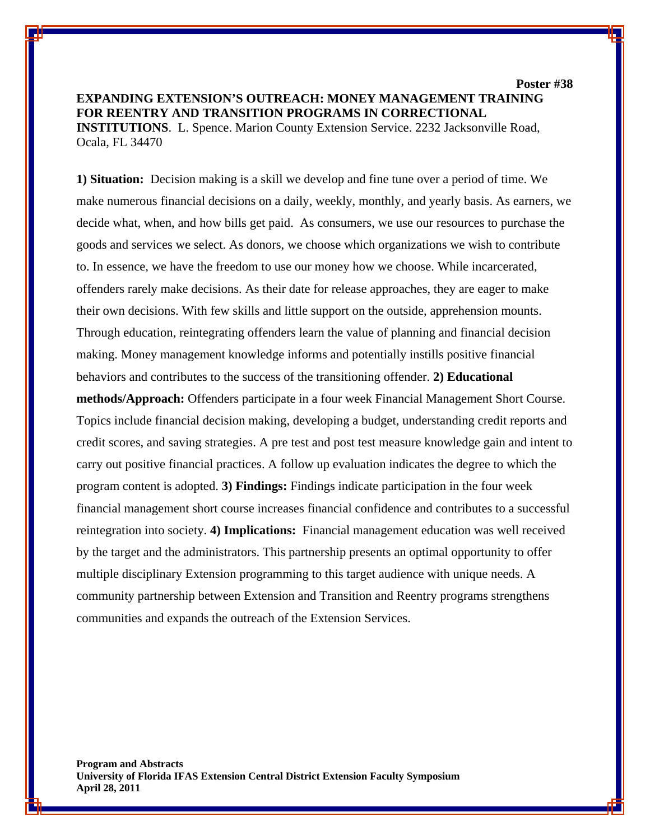**EXPANDING EXTENSION'S OUTREACH: MONEY MANAGEMENT TRAINING FOR REENTRY AND TRANSITION PROGRAMS IN CORRECTIONAL INSTITUTIONS**. L. Spence. Marion County Extension Service. 2232 Jacksonville Road, Ocala, FL 34470

**Poster #38** 

**1) Situation:** Decision making is a skill we develop and fine tune over a period of time. We make numerous financial decisions on a daily, weekly, monthly, and yearly basis. As earners, we decide what, when, and how bills get paid. As consumers, we use our resources to purchase the goods and services we select. As donors, we choose which organizations we wish to contribute to. In essence, we have the freedom to use our money how we choose. While incarcerated, offenders rarely make decisions. As their date for release approaches, they are eager to make their own decisions. With few skills and little support on the outside, apprehension mounts. Through education, reintegrating offenders learn the value of planning and financial decision making. Money management knowledge informs and potentially instills positive financial behaviors and contributes to the success of the transitioning offender. **2) Educational methods/Approach:** Offenders participate in a four week Financial Management Short Course. Topics include financial decision making, developing a budget, understanding credit reports and credit scores, and saving strategies. A pre test and post test measure knowledge gain and intent to carry out positive financial practices. A follow up evaluation indicates the degree to which the program content is adopted. **3) Findings:** Findings indicate participation in the four week financial management short course increases financial confidence and contributes to a successful reintegration into society. **4) Implications:** Financial management education was well received by the target and the administrators. This partnership presents an optimal opportunity to offer multiple disciplinary Extension programming to this target audience with unique needs. A community partnership between Extension and Transition and Reentry programs strengthens communities and expands the outreach of the Extension Services.